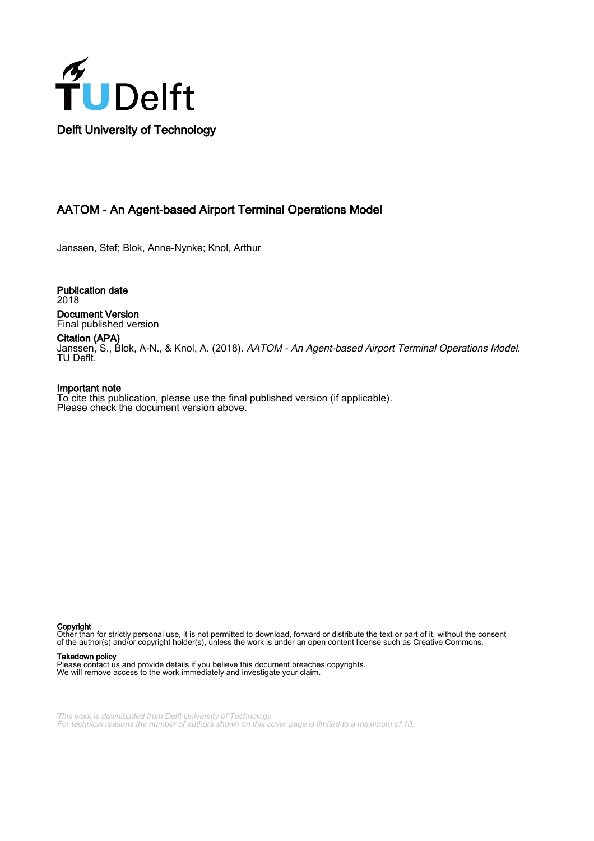

## AATOM - An Agent-based Airport Terminal Operations Model

Janssen, Stef; Blok, Anne-Nynke; Knol, Arthur

Publication date 2018 Document Version Final published version

Citation (APA)

Janssen, S., Blok, A-N., & Knol, A. (2018). AATOM - An Agent-based Airport Terminal Operations Model. TU Deflt.

#### Important note

To cite this publication, please use the final published version (if applicable). Please check the document version above.

Copyright

Other than for strictly personal use, it is not permitted to download, forward or distribute the text or part of it, without the consent of the author(s) and/or copyright holder(s), unless the work is under an open content license such as Creative Commons.

#### Takedown policy

Please contact us and provide details if you believe this document breaches copyrights. We will remove access to the work immediately and investigate your claim.

This work is downloaded from Delft University of Technology. For technical reasons the number of authors shown on this cover page is limited to a maximum of 10.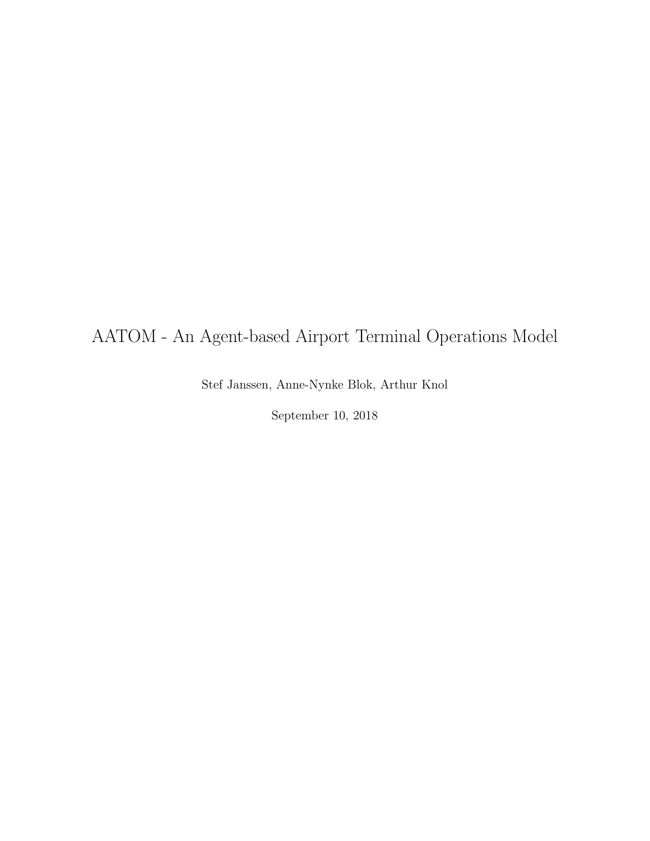## AATOM - An Agent-based Airport Terminal Operations Model

Stef Janssen, Anne-Nynke Blok, Arthur Knol

September 10, 2018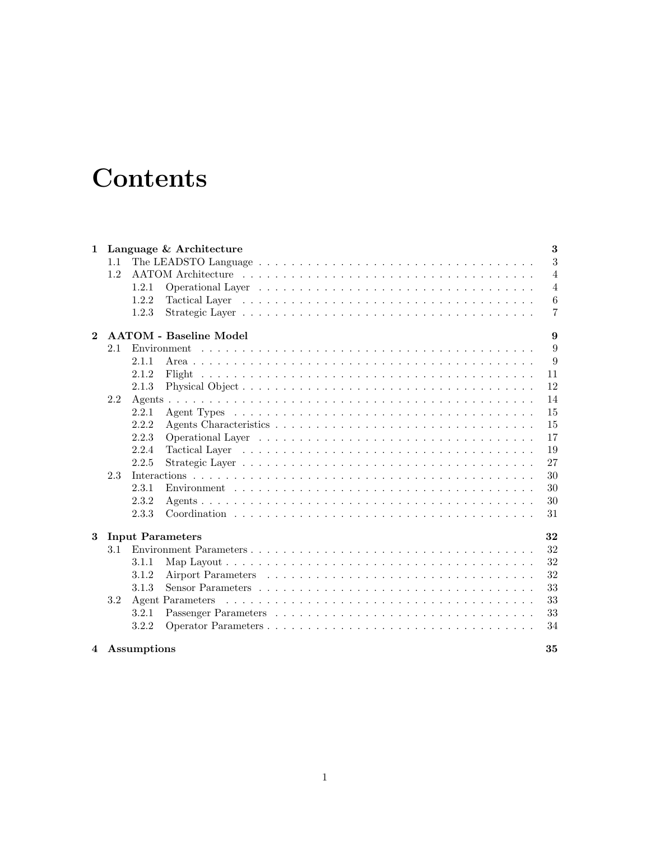# **Contents**

| 1            |                                    | $\bf{3}$<br>Language & Architecture |                  |                |  |
|--------------|------------------------------------|-------------------------------------|------------------|----------------|--|
|              | 1.1                                |                                     |                  | 3              |  |
|              | 1.2                                |                                     |                  | $\overline{4}$ |  |
|              |                                    | 1.2.1                               |                  | $\overline{4}$ |  |
|              |                                    | 1.2.2                               |                  | $\,6$          |  |
|              |                                    | 1.2.3                               |                  | 7              |  |
| $\mathbf{2}$ | <b>AATOM - Baseline Model</b><br>9 |                                     |                  |                |  |
|              | 2.1                                |                                     |                  | 9              |  |
|              |                                    | 2.1.1                               |                  | 9              |  |
|              |                                    | 2.1.2                               |                  | 11             |  |
|              |                                    | 2.1.3                               |                  | 12             |  |
|              | 2.2                                |                                     |                  | 14             |  |
|              |                                    | 2.2.1                               |                  | 15             |  |
|              |                                    | 2.2.2                               |                  | 15             |  |
|              |                                    | 2.2.3                               |                  | 17             |  |
|              |                                    | 2.2.4                               |                  | 19             |  |
|              |                                    | 2.2.5                               |                  | 27             |  |
|              | 2.3                                |                                     |                  | 30             |  |
|              |                                    | 2.3.1                               |                  | 30             |  |
|              |                                    | 2.3.2                               |                  | 30             |  |
|              |                                    | 2.3.3                               |                  | 31             |  |
| 3            | 32<br><b>Input Parameters</b>      |                                     |                  |                |  |
|              | 3.1                                |                                     |                  | 32             |  |
|              |                                    | 3.1.1                               |                  | 32             |  |
|              |                                    | 3.1.2                               |                  | 32             |  |
|              |                                    | 3.1.3                               |                  | 33             |  |
|              | 3.2                                |                                     | Agent Parameters | 33             |  |
|              |                                    | 3.2.1                               |                  | 33             |  |
|              |                                    | 3.2.2                               |                  | 34             |  |
|              | 4 Assumptions                      |                                     |                  |                |  |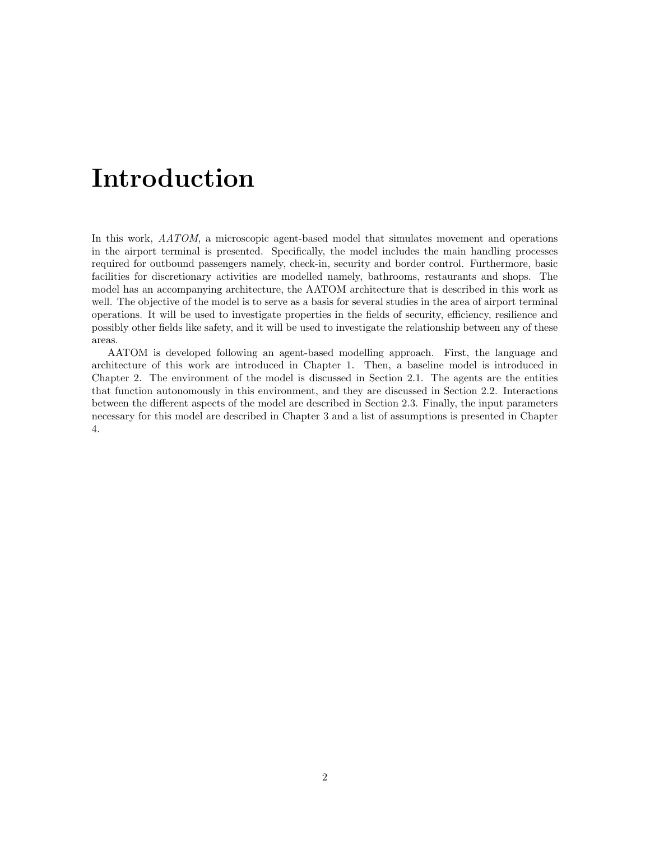# Introduction

In this work, AATOM, a microscopic agent-based model that simulates movement and operations in the airport terminal is presented. Specifically, the model includes the main handling processes required for outbound passengers namely, check-in, security and border control. Furthermore, basic facilities for discretionary activities are modelled namely, bathrooms, restaurants and shops. The model has an accompanying architecture, the AATOM architecture that is described in this work as well. The objective of the model is to serve as a basis for several studies in the area of airport terminal operations. It will be used to investigate properties in the fields of security, efficiency, resilience and possibly other fields like safety, and it will be used to investigate the relationship between any of these areas.

AATOM is developed following an agent-based modelling approach. First, the language and architecture of this work are introduced in Chapter 1. Then, a baseline model is introduced in Chapter 2. The environment of the model is discussed in Section 2.1. The agents are the entities that function autonomously in this environment, and they are discussed in Section 2.2. Interactions between the different aspects of the model are described in Section 2.3. Finally, the input parameters necessary for this model are described in Chapter 3 and a list of assumptions is presented in Chapter 4.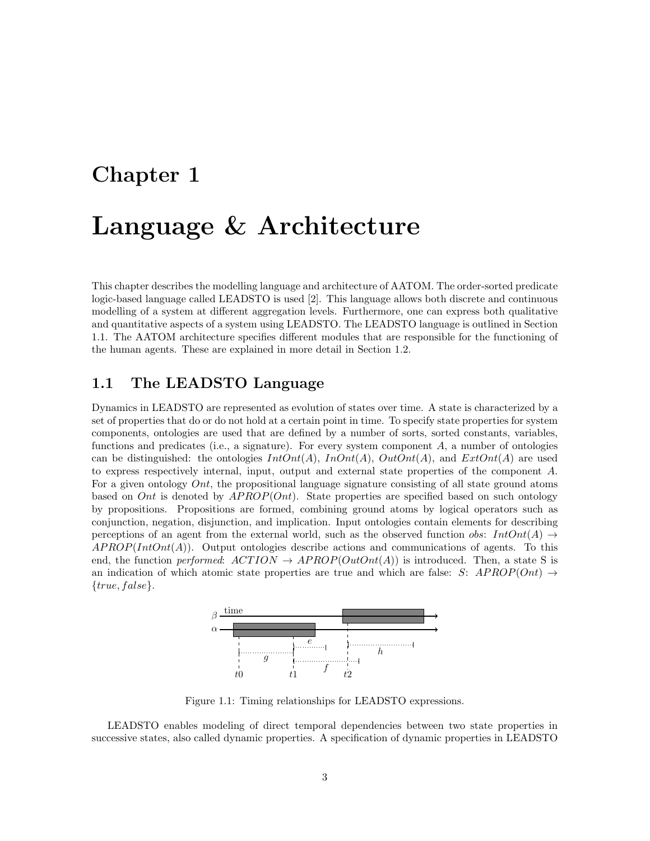## Chapter 1

## Language & Architecture

This chapter describes the modelling language and architecture of AATOM. The order-sorted predicate logic-based language called LEADSTO is used [2]. This language allows both discrete and continuous modelling of a system at different aggregation levels. Furthermore, one can express both qualitative and quantitative aspects of a system using LEADSTO. The LEADSTO language is outlined in Section 1.1. The AATOM architecture specifies different modules that are responsible for the functioning of the human agents. These are explained in more detail in Section 1.2.

## 1.1 The LEADSTO Language

Dynamics in LEADSTO are represented as evolution of states over time. A state is characterized by a set of properties that do or do not hold at a certain point in time. To specify state properties for system components, ontologies are used that are defined by a number of sorts, sorted constants, variables, functions and predicates (i.e., a signature). For every system component  $A$ , a number of ontologies can be distinguished: the ontologies  $IntOnt(A)$ ,  $InOnt(A)$ ,  $OutOnt(A)$ , and  $ExtOnt(A)$  are used to express respectively internal, input, output and external state properties of the component A. For a given ontology *Ont*, the propositional language signature consisting of all state ground atoms based on Ont is denoted by  $APROP(Ont)$ . State properties are specified based on such ontology by propositions. Propositions are formed, combining ground atoms by logical operators such as conjunction, negation, disjunction, and implication. Input ontologies contain elements for describing perceptions of an agent from the external world, such as the observed function *obs:*  $IntOnt(A) \rightarrow$  $APROP(IntOnt(A)).$  Output ontologies describe actions and communications of agents. To this end, the function performed:  $ACTION \rightarrow APROP(OutOnt(A))$  is introduced. Then, a state S is an indication of which atomic state properties are true and which are false: S:  $APROP(Ont) \rightarrow$  ${true, false}.$ 



Figure 1.1: Timing relationships for LEADSTO expressions.

LEADSTO enables modeling of direct temporal dependencies between two state properties in successive states, also called dynamic properties. A specification of dynamic properties in LEADSTO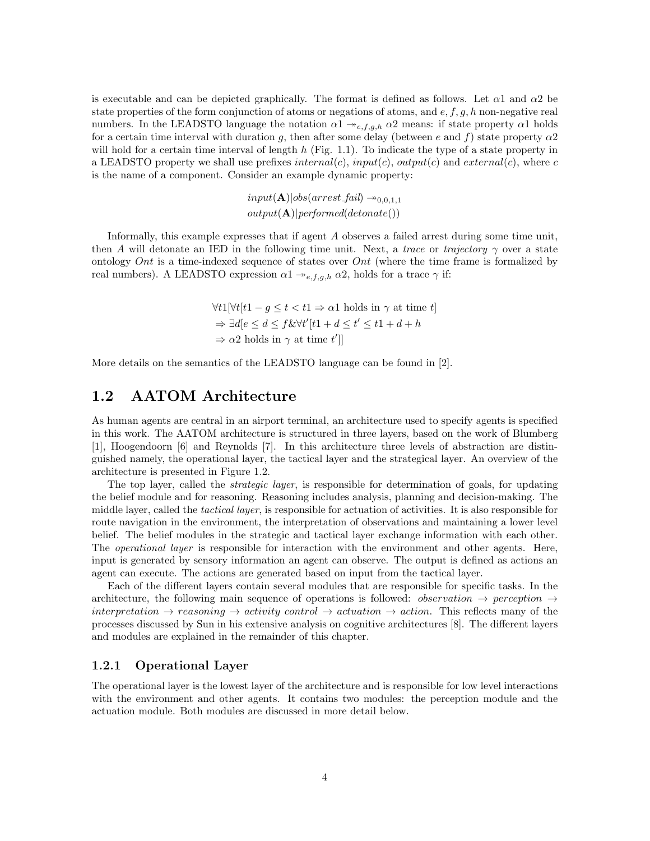is executable and can be depicted graphically. The format is defined as follows. Let  $\alpha$ 1 and  $\alpha$ 2 be state properties of the form conjunction of atoms or negations of atoms, and  $e, f, g, h$  non-negative real numbers. In the LEADSTO language the notation  $\alpha_1 \rightarrow e, f, g, h \alpha_2$  means: if state property  $\alpha_1$  holds for a certain time interval with duration g, then after some delay (between e and f) state property  $\alpha$ ? will hold for a certain time interval of length  $h$  (Fig. 1.1). To indicate the type of a state property in a LEADSTO property we shall use prefixes  $internal(c)$ ,  $input(c)$ ,  $output(c)$  and  $external(c)$ , where c is the name of a component. Consider an example dynamic property:

> $input(\mathbf{A})|obs(arrest\_fail) \rightarrow_{0,0,1,1}$  $output(\mathbf{A})|performed(detonate())$

Informally, this example expresses that if agent A observes a failed arrest during some time unit, then A will detonate an IED in the following time unit. Next, a trace or trajectory  $\gamma$  over a state ontology Ont is a time-indexed sequence of states over Ont (where the time frame is formalized by real numbers). A LEADSTO expression  $\alpha_1 \rightarrow e, f, g, h \alpha_2$ , holds for a trace  $\gamma$  if:

$$
\forall t1[\forall t[t1 - g \le t < t1 \Rightarrow \alpha 1 \text{ holds in } \gamma \text{ at time } t]
$$
\n
$$
\Rightarrow \exists d[e \le d \le f \& \forall t'[t1 + d \le t' \le t1 + d + h]
$$
\n
$$
\Rightarrow \alpha 2 \text{ holds in } \gamma \text{ at time } t']
$$

More details on the semantics of the LEADSTO language can be found in [2].

## 1.2 AATOM Architecture

As human agents are central in an airport terminal, an architecture used to specify agents is specified in this work. The AATOM architecture is structured in three layers, based on the work of Blumberg [1], Hoogendoorn [6] and Reynolds [7]. In this architecture three levels of abstraction are distinguished namely, the operational layer, the tactical layer and the strategical layer. An overview of the architecture is presented in Figure 1.2.

The top layer, called the *strategic layer*, is responsible for determination of goals, for updating the belief module and for reasoning. Reasoning includes analysis, planning and decision-making. The middle layer, called the tactical layer, is responsible for actuation of activities. It is also responsible for route navigation in the environment, the interpretation of observations and maintaining a lower level belief. The belief modules in the strategic and tactical layer exchange information with each other. The operational layer is responsible for interaction with the environment and other agents. Here, input is generated by sensory information an agent can observe. The output is defined as actions an agent can execute. The actions are generated based on input from the tactical layer.

Each of the different layers contain several modules that are responsible for specific tasks. In the architecture, the following main sequence of operations is followed: *observation*  $\rightarrow$  perception  $\rightarrow$ interpretation  $\rightarrow$  reasoning  $\rightarrow$  activity control  $\rightarrow$  actuation  $\rightarrow$  action. This reflects many of the processes discussed by Sun in his extensive analysis on cognitive architectures [8]. The different layers and modules are explained in the remainder of this chapter.

#### 1.2.1 Operational Layer

The operational layer is the lowest layer of the architecture and is responsible for low level interactions with the environment and other agents. It contains two modules: the perception module and the actuation module. Both modules are discussed in more detail below.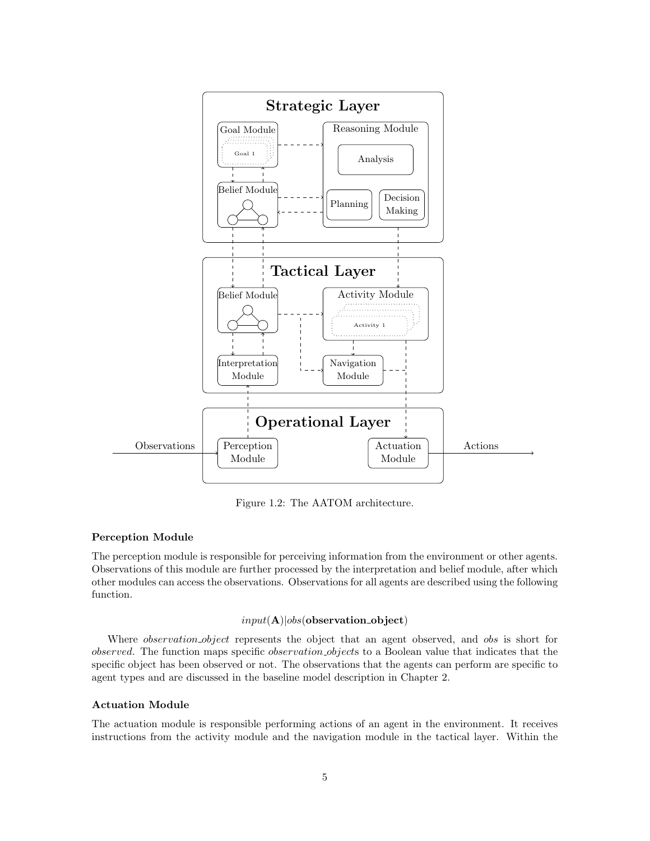

Figure 1.2: The AATOM architecture.

#### Perception Module

The perception module is responsible for perceiving information from the environment or other agents. Observations of this module are further processed by the interpretation and belief module, after which other modules can access the observations. Observations for all agents are described using the following function.

#### $input(A)|obs(observation\_object)$

Where *observation\_object* represents the object that an agent observed, and *obs* is short for observed. The function maps specific observation objects to a Boolean value that indicates that the specific object has been observed or not. The observations that the agents can perform are specific to agent types and are discussed in the baseline model description in Chapter 2.

#### Actuation Module

The actuation module is responsible performing actions of an agent in the environment. It receives instructions from the activity module and the navigation module in the tactical layer. Within the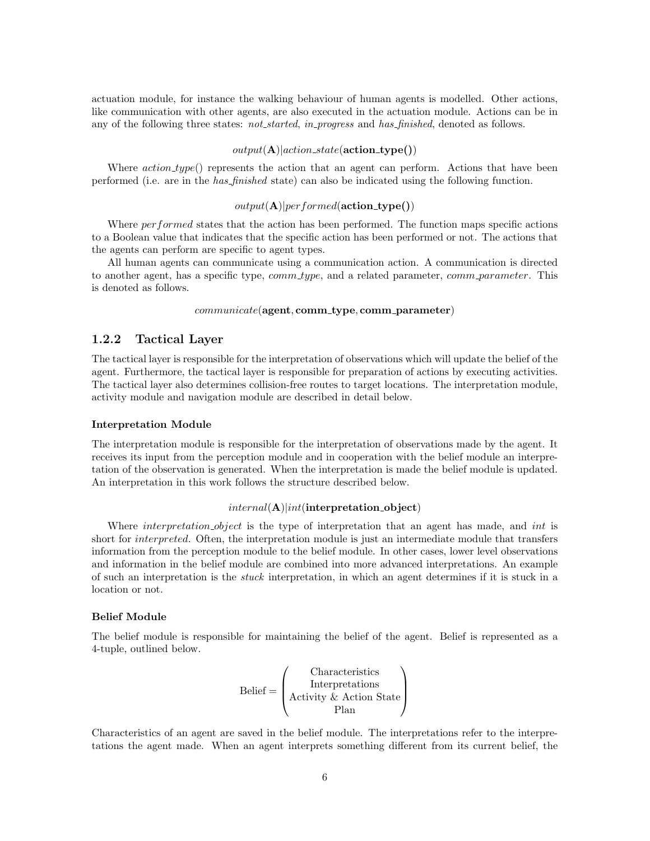actuation module, for instance the walking behaviour of human agents is modelled. Other actions, like communication with other agents, are also executed in the actuation module. Actions can be in any of the following three states: not started, in progress and has finished, denoted as follows.

#### $output(A)|action\_state(action\_type())$

Where  $action_type()$  represents the action that an agent can perform. Actions that have been performed (i.e. are in the has finished state) can also be indicated using the following function.

#### $output(A)|performed(\textbf{action\_type}))$

Where *per formed* states that the action has been performed. The function maps specific actions to a Boolean value that indicates that the specific action has been performed or not. The actions that the agents can perform are specific to agent types.

All human agents can communicate using a communication action. A communication is directed to another agent, has a specific type, *comm\_type*, and a related parameter, *comm\_parameter*. This is denoted as follows.

#### $communicate$ ( $agent, comm\_type, comm\_parameter)$

#### 1.2.2 Tactical Layer

The tactical layer is responsible for the interpretation of observations which will update the belief of the agent. Furthermore, the tactical layer is responsible for preparation of actions by executing activities. The tactical layer also determines collision-free routes to target locations. The interpretation module, activity module and navigation module are described in detail below.

#### Interpretation Module

The interpretation module is responsible for the interpretation of observations made by the agent. It receives its input from the perception module and in cooperation with the belief module an interpretation of the observation is generated. When the interpretation is made the belief module is updated. An interpretation in this work follows the structure described below.

#### $internal(\mathbf{A})| int(\text{interpretation\_object})$

Where *interpretation object* is the type of interpretation that an agent has made, and *int* is short for *interpreted*. Often, the interpretation module is just an intermediate module that transfers information from the perception module to the belief module. In other cases, lower level observations and information in the belief module are combined into more advanced interpretations. An example of such an interpretation is the stuck interpretation, in which an agent determines if it is stuck in a location or not.

#### Belief Module

The belief module is responsible for maintaining the belief of the agent. Belief is represented as a 4-tuple, outlined below.

$$
Belief = \left(\begin{array}{c} Characteristics \\ Interpretations \\ Activity & Action State \\ Plan \end{array}\right)
$$

Characteristics of an agent are saved in the belief module. The interpretations refer to the interpretations the agent made. When an agent interprets something different from its current belief, the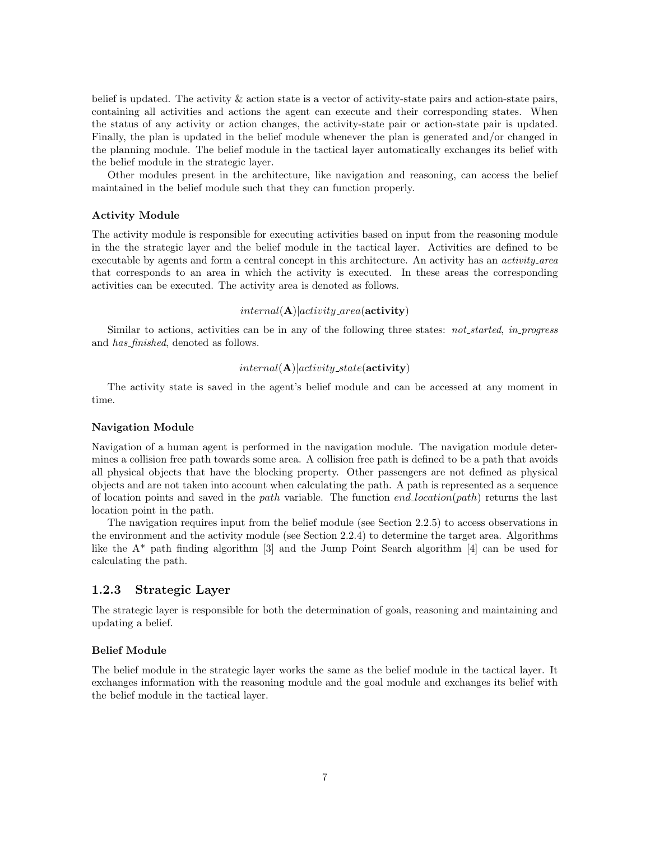belief is updated. The activity & action state is a vector of activity-state pairs and action-state pairs, containing all activities and actions the agent can execute and their corresponding states. When the status of any activity or action changes, the activity-state pair or action-state pair is updated. Finally, the plan is updated in the belief module whenever the plan is generated and/or changed in the planning module. The belief module in the tactical layer automatically exchanges its belief with the belief module in the strategic layer.

Other modules present in the architecture, like navigation and reasoning, can access the belief maintained in the belief module such that they can function properly.

#### Activity Module

The activity module is responsible for executing activities based on input from the reasoning module in the the strategic layer and the belief module in the tactical layer. Activities are defined to be executable by agents and form a central concept in this architecture. An activity has an *activity area* that corresponds to an area in which the activity is executed. In these areas the corresponding activities can be executed. The activity area is denoted as follows.

#### $internal(\mathbf{A})|activity \_area(\textbf{activity})$

Similar to actions, activities can be in any of the following three states: *not\_started, in\_progress* and has finished, denoted as follows.

#### $internal(\mathbf{A})|activity\_state(\mathbf{activity})$

The activity state is saved in the agent's belief module and can be accessed at any moment in time.

#### Navigation Module

Navigation of a human agent is performed in the navigation module. The navigation module determines a collision free path towards some area. A collision free path is defined to be a path that avoids all physical objects that have the blocking property. Other passengers are not defined as physical objects and are not taken into account when calculating the path. A path is represented as a sequence of location points and saved in the path variable. The function end location (path) returns the last location point in the path.

The navigation requires input from the belief module (see Section 2.2.5) to access observations in the environment and the activity module (see Section 2.2.4) to determine the target area. Algorithms like the A\* path finding algorithm [3] and the Jump Point Search algorithm [4] can be used for calculating the path.

### 1.2.3 Strategic Layer

The strategic layer is responsible for both the determination of goals, reasoning and maintaining and updating a belief.

#### Belief Module

The belief module in the strategic layer works the same as the belief module in the tactical layer. It exchanges information with the reasoning module and the goal module and exchanges its belief with the belief module in the tactical layer.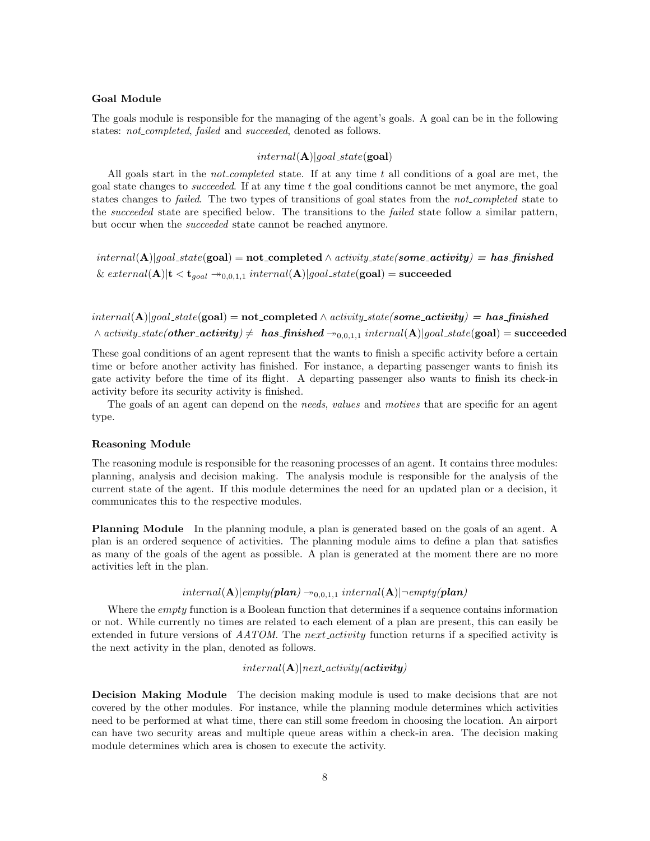#### Goal Module

The goals module is responsible for the managing of the agent's goals. A goal can be in the following states: *not\_completed, failed* and *succeeded*, denoted as follows.

#### $internal(\mathbf{A})| goal\_state(\mathbf{goal})$

All goals start in the *not-completed* state. If at any time  $t$  all conditions of a goal are met, the goal state changes to *succeeded*. If at any time  $t$  the goal conditions cannot be met anymore, the goal states changes to *failed*. The two types of transitions of goal states from the *not-completed* state to the succeeded state are specified below. The transitions to the failed state follow a similar pattern, but occur when the succeeded state cannot be reached anymore.

 $internal(A)|goal\_state(goa) = not\_completed \wedge activity\_state(some\_activity) = has\_finshed$ &  $external(A)|t < t_{goal} \rightarrow_{0,0,1,1} internal(A)|goal\_state(goa) = succeeded$ 

 $internal(A)|goal\_state(goa) = not\_completed \wedge activity\_state(some\_activity) = has\_finshed$  $\wedge$  activity\_state(other\_activity)  $\neq$  has\_finished  $\rightarrow_{0,0,1,1}$  internal(A)|goal\_state(goal) = succeeded

These goal conditions of an agent represent that the wants to finish a specific activity before a certain time or before another activity has finished. For instance, a departing passenger wants to finish its gate activity before the time of its flight. A departing passenger also wants to finish its check-in activity before its security activity is finished.

The goals of an agent can depend on the *needs*, *values* and *motives* that are specific for an agent type.

#### Reasoning Module

The reasoning module is responsible for the reasoning processes of an agent. It contains three modules: planning, analysis and decision making. The analysis module is responsible for the analysis of the current state of the agent. If this module determines the need for an updated plan or a decision, it communicates this to the respective modules.

Planning Module In the planning module, a plan is generated based on the goals of an agent. A plan is an ordered sequence of activities. The planning module aims to define a plan that satisfies as many of the goals of the agent as possible. A plan is generated at the moment there are no more activities left in the plan.

## $interval(A)|empty(plan) \rightarrow_{0,0,1,1} internal(A)|\neg empty(plan)$

Where the *empty* function is a Boolean function that determines if a sequence contains information or not. While currently no times are related to each element of a plan are present, this can easily be extended in future versions of AATOM. The next activity function returns if a specified activity is the next activity in the plan, denoted as follows.

#### $internal(\mathbf{A})|next\_activity(\mathbf{activity})$

Decision Making Module The decision making module is used to make decisions that are not covered by the other modules. For instance, while the planning module determines which activities need to be performed at what time, there can still some freedom in choosing the location. An airport can have two security areas and multiple queue areas within a check-in area. The decision making module determines which area is chosen to execute the activity.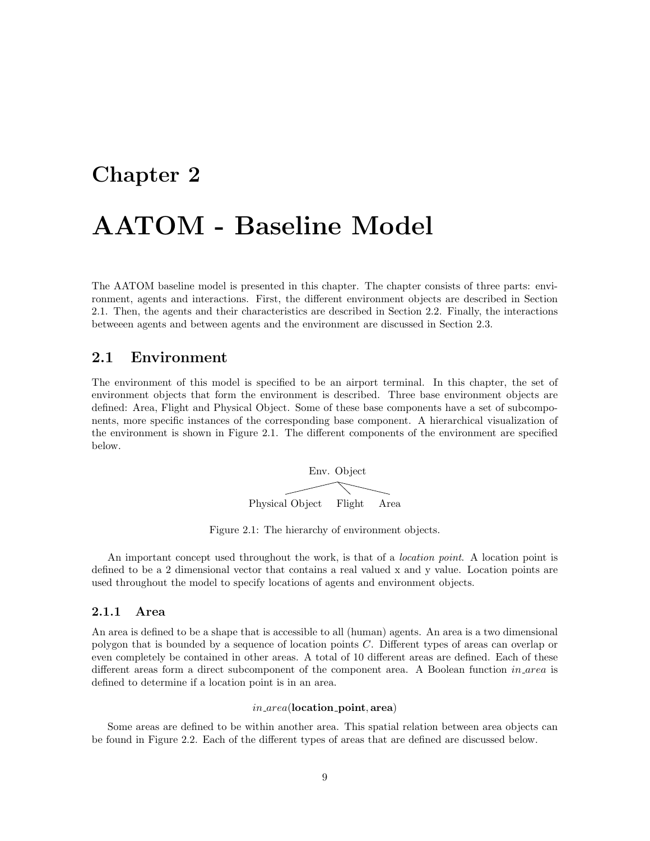## Chapter 2

## AATOM - Baseline Model

The AATOM baseline model is presented in this chapter. The chapter consists of three parts: environment, agents and interactions. First, the different environment objects are described in Section 2.1. Then, the agents and their characteristics are described in Section 2.2. Finally, the interactions betweeen agents and between agents and the environment are discussed in Section 2.3.

## 2.1 Environment

The environment of this model is specified to be an airport terminal. In this chapter, the set of environment objects that form the environment is described. Three base environment objects are defined: Area, Flight and Physical Object. Some of these base components have a set of subcomponents, more specific instances of the corresponding base component. A hierarchical visualization of the environment is shown in Figure 2.1. The different components of the environment are specified below.

Env. Object Physical Object Flight Area

Figure 2.1: The hierarchy of environment objects.

An important concept used throughout the work, is that of a *location point*. A location point is defined to be a 2 dimensional vector that contains a real valued x and y value. Location points are used throughout the model to specify locations of agents and environment objects.

#### 2.1.1 Area

An area is defined to be a shape that is accessible to all (human) agents. An area is a two dimensional polygon that is bounded by a sequence of location points C. Different types of areas can overlap or even completely be contained in other areas. A total of 10 different areas are defined. Each of these different areas form a direct subcomponent of the component area. A Boolean function *in area* is defined to determine if a location point is in an area.

#### $in\_area$ (location\_point, area)

Some areas are defined to be within another area. This spatial relation between area objects can be found in Figure 2.2. Each of the different types of areas that are defined are discussed below.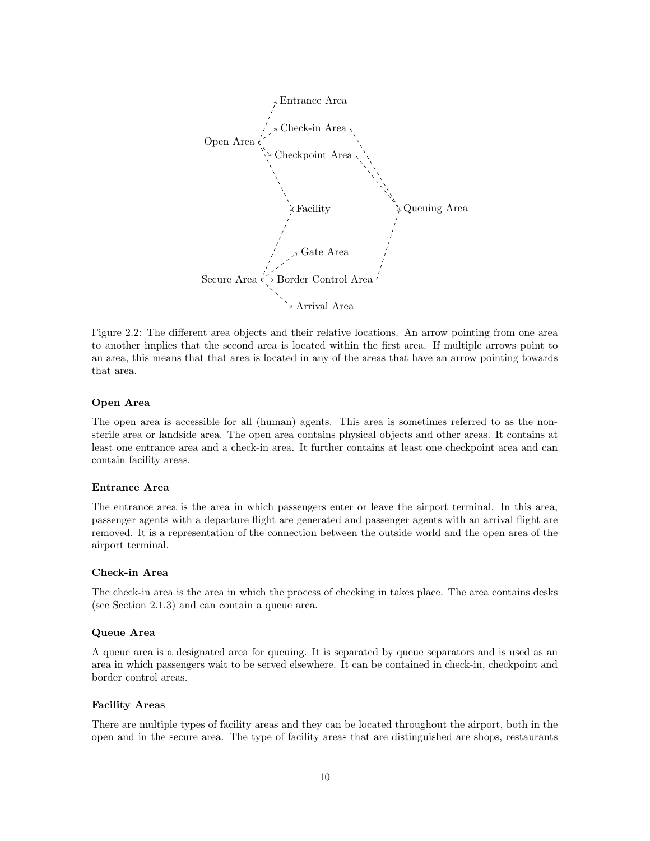

Figure 2.2: The different area objects and their relative locations. An arrow pointing from one area to another implies that the second area is located within the first area. If multiple arrows point to an area, this means that that area is located in any of the areas that have an arrow pointing towards that area.

#### Open Area

The open area is accessible for all (human) agents. This area is sometimes referred to as the nonsterile area or landside area. The open area contains physical objects and other areas. It contains at least one entrance area and a check-in area. It further contains at least one checkpoint area and can contain facility areas.

#### Entrance Area

The entrance area is the area in which passengers enter or leave the airport terminal. In this area, passenger agents with a departure flight are generated and passenger agents with an arrival flight are removed. It is a representation of the connection between the outside world and the open area of the airport terminal.

#### Check-in Area

The check-in area is the area in which the process of checking in takes place. The area contains desks (see Section 2.1.3) and can contain a queue area.

#### Queue Area

A queue area is a designated area for queuing. It is separated by queue separators and is used as an area in which passengers wait to be served elsewhere. It can be contained in check-in, checkpoint and border control areas.

#### Facility Areas

There are multiple types of facility areas and they can be located throughout the airport, both in the open and in the secure area. The type of facility areas that are distinguished are shops, restaurants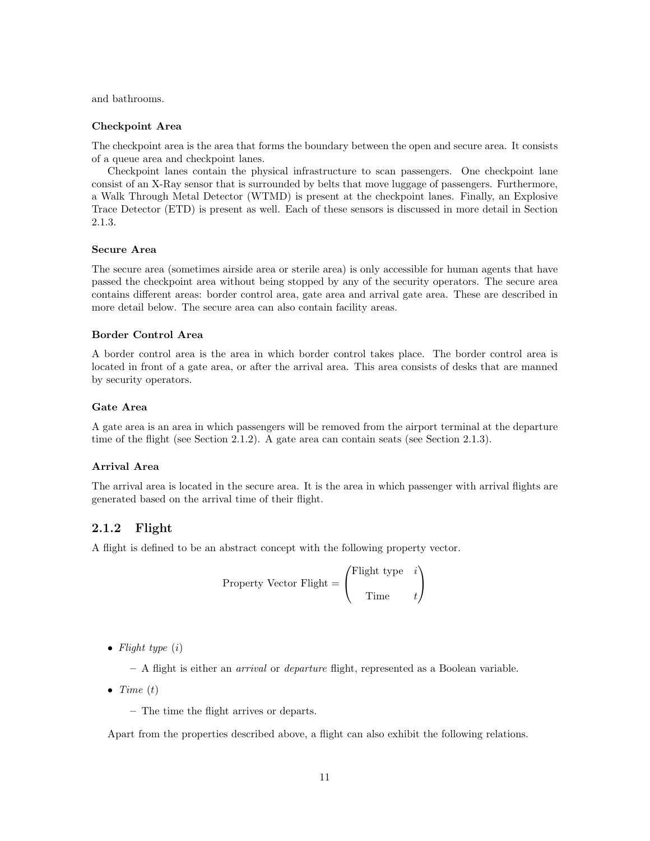and bathrooms.

#### Checkpoint Area

The checkpoint area is the area that forms the boundary between the open and secure area. It consists of a queue area and checkpoint lanes.

Checkpoint lanes contain the physical infrastructure to scan passengers. One checkpoint lane consist of an X-Ray sensor that is surrounded by belts that move luggage of passengers. Furthermore, a Walk Through Metal Detector (WTMD) is present at the checkpoint lanes. Finally, an Explosive Trace Detector (ETD) is present as well. Each of these sensors is discussed in more detail in Section 2.1.3.

#### Secure Area

The secure area (sometimes airside area or sterile area) is only accessible for human agents that have passed the checkpoint area without being stopped by any of the security operators. The secure area contains different areas: border control area, gate area and arrival gate area. These are described in more detail below. The secure area can also contain facility areas.

#### Border Control Area

A border control area is the area in which border control takes place. The border control area is located in front of a gate area, or after the arrival area. This area consists of desks that are manned by security operators.

#### Gate Area

A gate area is an area in which passengers will be removed from the airport terminal at the departure time of the flight (see Section 2.1.2). A gate area can contain seats (see Section 2.1.3).

#### Arrival Area

The arrival area is located in the secure area. It is the area in which passenger with arrival flights are generated based on the arrival time of their flight.

#### 2.1.2 Flight

A flight is defined to be an abstract concept with the following property vector.

Property Vector Flight = 
$$
\begin{pmatrix} \text{Flight type} & i \\ \text{Time} & t \end{pmatrix}
$$

• Flight type  $(i)$ 

– A flight is either an arrival or departure flight, represented as a Boolean variable.

- Time  $(t)$ 
	- The time the flight arrives or departs.

Apart from the properties described above, a flight can also exhibit the following relations.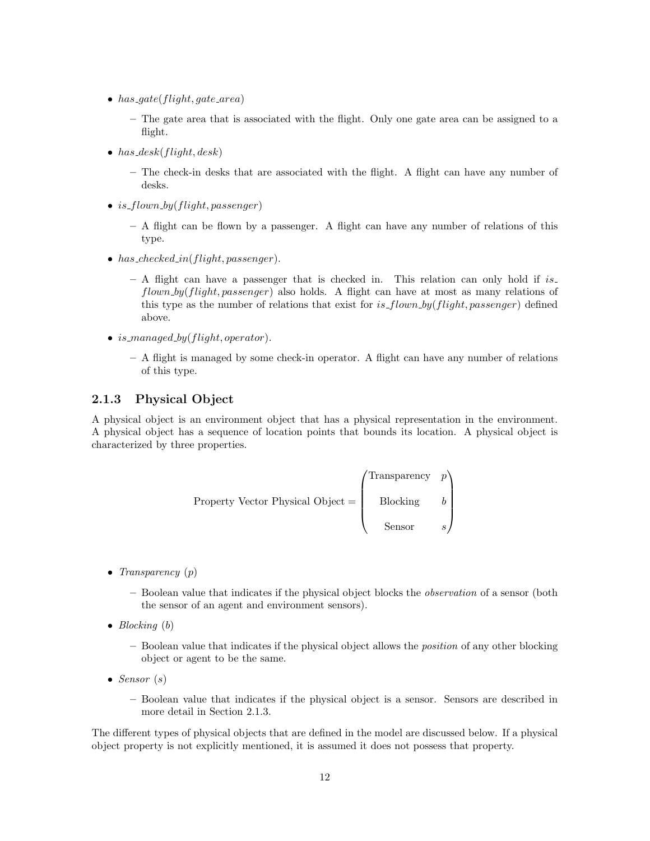- has  $gate(flight, gate\_area)$ 
	- The gate area that is associated with the flight. Only one gate area can be assigned to a flight.
- has  $desk(flight, desk)$ 
	- The check-in desks that are associated with the flight. A flight can have any number of desks.
- is\_flown\_by(flight, passenger)
	- A flight can be flown by a passenger. A flight can have any number of relations of this type.
- has checked in (flight, passenger).
	- $A$  flight can have a passenger that is checked in. This relation can only hold if is. flown by (flight, passenger) also holds. A flight can have at most as many relations of this type as the number of relations that exist for is  $flown_by(flight, passenger)$  defined above.
- is managed by (flight, operator).
	- A flight is managed by some check-in operator. A flight can have any number of relations of this type.

### 2.1.3 Physical Object

A physical object is an environment object that has a physical representation in the environment. A physical object has a sequence of location points that bounds its location. A physical object is characterized by three properties.

Property Vector Physical Object = 
$$
\begin{pmatrix}\n\text{Transporty } p \\
\text{Blocking } b \\
\text{Sensor}\n\end{pmatrix}
$$

- Transparency  $(p)$ 
	- Boolean value that indicates if the physical object blocks the observation of a sensor (both the sensor of an agent and environment sensors).
- Blocking  $(b)$ 
	- Boolean value that indicates if the physical object allows the position of any other blocking object or agent to be the same.
- Sensor  $(s)$ 
	- Boolean value that indicates if the physical object is a sensor. Sensors are described in more detail in Section 2.1.3.

The different types of physical objects that are defined in the model are discussed below. If a physical object property is not explicitly mentioned, it is assumed it does not possess that property.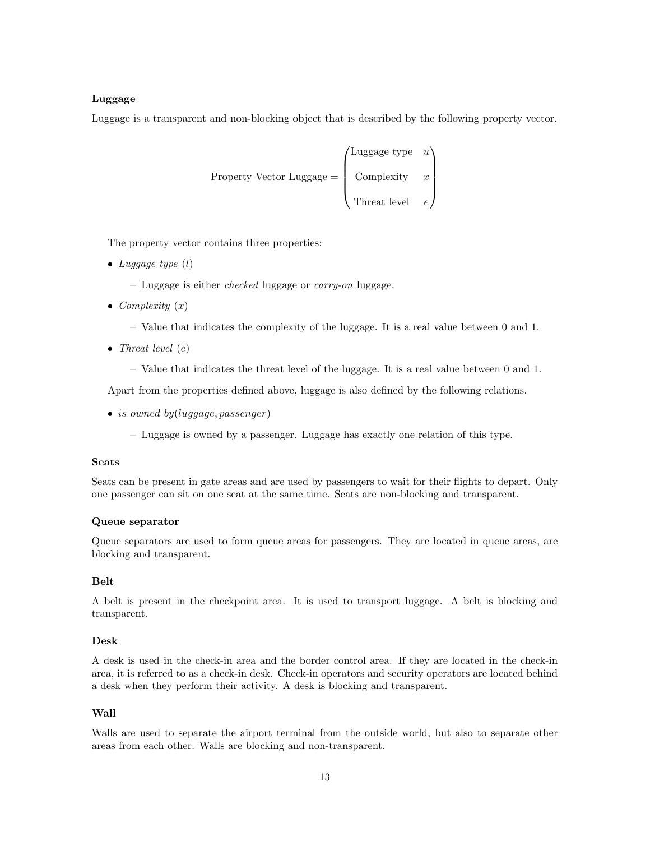#### Luggage

Luggage is a transparent and non-blocking object that is described by the following property vector.

Property Vector Luggage = 
$$
\begin{pmatrix} \text{Luggage type} & u \\ \text{Complexity} & x \\ \text{Thread level} & e \end{pmatrix}
$$

The property vector contains three properties:

- Luggage type  $(l)$ 
	- Luggage is either checked luggage or carry-on luggage.
- Complexity  $(x)$ 
	- Value that indicates the complexity of the luggage. It is a real value between 0 and 1.
- Threat level  $(e)$ 
	- Value that indicates the threat level of the luggage. It is a real value between 0 and 1.

Apart from the properties defined above, luggage is also defined by the following relations.

- is\_owned\_by(luggage, passenger)
	- Luggage is owned by a passenger. Luggage has exactly one relation of this type.

#### Seats

Seats can be present in gate areas and are used by passengers to wait for their flights to depart. Only one passenger can sit on one seat at the same time. Seats are non-blocking and transparent.

#### Queue separator

Queue separators are used to form queue areas for passengers. They are located in queue areas, are blocking and transparent.

#### Belt

A belt is present in the checkpoint area. It is used to transport luggage. A belt is blocking and transparent.

#### Desk

A desk is used in the check-in area and the border control area. If they are located in the check-in area, it is referred to as a check-in desk. Check-in operators and security operators are located behind a desk when they perform their activity. A desk is blocking and transparent.

#### Wall

Walls are used to separate the airport terminal from the outside world, but also to separate other areas from each other. Walls are blocking and non-transparent.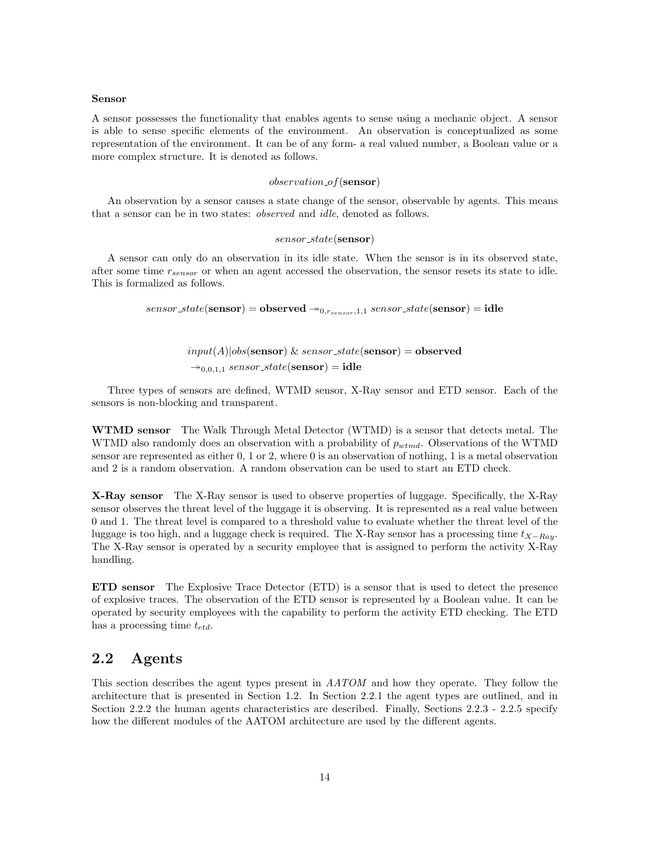#### Sensor

A sensor possesses the functionality that enables agents to sense using a mechanic object. A sensor is able to sense specific elements of the environment. An observation is conceptualized as some representation of the environment. It can be of any form- a real valued number, a Boolean value or a more complex structure. It is denoted as follows.

#### $observation\_of(\mathbf{sensor})$

An observation by a sensor causes a state change of the sensor, observable by agents. This means that a sensor can be in two states: observed and idle, denoted as follows.

#### sensor\_state(sensor)

A sensor can only do an observation in its idle state. When the sensor is in its observed state, after some time  $r_{sensor}$  or when an agent accessed the observation, the sensor resets its state to idle. This is formalized as follows.

 $sensor\_state(\mathbf{sensor}) = \mathbf{observed} \rightarrow_{0,r_{sensor},1,1} sensor\_state(\mathbf{sensor}) = \mathbf{idle}$ 

## $input(A)|obs(\text{sensor}) \& sensor\_state(\text{sensor}) = observed$  $\rightarrow$ <sub>0,0,1,1</sub> sensor\_state(sensor) = idle

Three types of sensors are defined, WTMD sensor, X-Ray sensor and ETD sensor. Each of the sensors is non-blocking and transparent.

WTMD sensor The Walk Through Metal Detector (WTMD) is a sensor that detects metal. The WTMD also randomly does an observation with a probability of  $p_{wtmd}$ . Observations of the WTMD sensor are represented as either 0, 1 or 2, where 0 is an observation of nothing, 1 is a metal observation and 2 is a random observation. A random observation can be used to start an ETD check.

X-Ray sensor The X-Ray sensor is used to observe properties of luggage. Specifically, the X-Ray sensor observes the threat level of the luggage it is observing. It is represented as a real value between 0 and 1. The threat level is compared to a threshold value to evaluate whether the threat level of the luggage is too high, and a luggage check is required. The X-Ray sensor has a processing time  $t_{X-Rav}$ . The X-Ray sensor is operated by a security employee that is assigned to perform the activity X-Ray handling.

ETD sensor The Explosive Trace Detector (ETD) is a sensor that is used to detect the presence of explosive traces. The observation of the ETD sensor is represented by a Boolean value. It can be operated by security employees with the capability to perform the activity ETD checking. The ETD has a processing time  $t_{etd}$ .

## 2.2 Agents

This section describes the agent types present in AATOM and how they operate. They follow the architecture that is presented in Section 1.2. In Section 2.2.1 the agent types are outlined, and in Section 2.2.2 the human agents characteristics are described. Finally, Sections 2.2.3 - 2.2.5 specify how the different modules of the AATOM architecture are used by the different agents.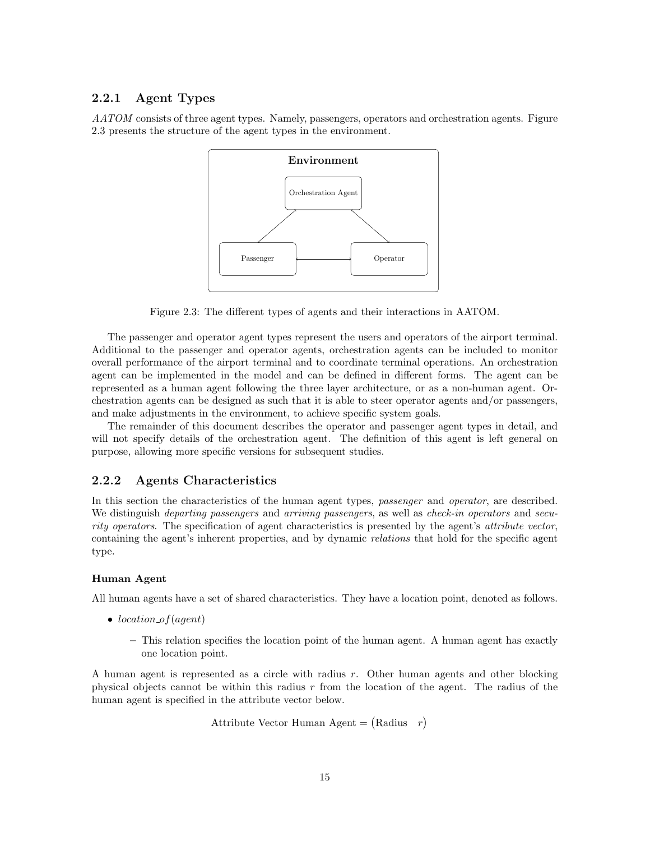#### 2.2.1 Agent Types

AATOM consists of three agent types. Namely, passengers, operators and orchestration agents. Figure 2.3 presents the structure of the agent types in the environment.



Figure 2.3: The different types of agents and their interactions in AATOM.

The passenger and operator agent types represent the users and operators of the airport terminal. Additional to the passenger and operator agents, orchestration agents can be included to monitor overall performance of the airport terminal and to coordinate terminal operations. An orchestration agent can be implemented in the model and can be defined in different forms. The agent can be represented as a human agent following the three layer architecture, or as a non-human agent. Orchestration agents can be designed as such that it is able to steer operator agents and/or passengers, and make adjustments in the environment, to achieve specific system goals.

The remainder of this document describes the operator and passenger agent types in detail, and will not specify details of the orchestration agent. The definition of this agent is left general on purpose, allowing more specific versions for subsequent studies.

### 2.2.2 Agents Characteristics

In this section the characteristics of the human agent types, *passenger* and *operator*, are described. We distinguish *departing passengers* and *arriving passengers*, as well as *check-in operators* and *secu*rity operators. The specification of agent characteristics is presented by the agent's attribute vector, containing the agent's inherent properties, and by dynamic relations that hold for the specific agent type.

#### Human Agent

All human agents have a set of shared characteristics. They have a location point, denoted as follows.

- location\_of(agent)
	- This relation specifies the location point of the human agent. A human agent has exactly one location point.

A human agent is represented as a circle with radius r. Other human agents and other blocking physical objects cannot be within this radius r from the location of the agent. The radius of the human agent is specified in the attribute vector below.

```
Attribute Vector Human Agent = (Radius r)
```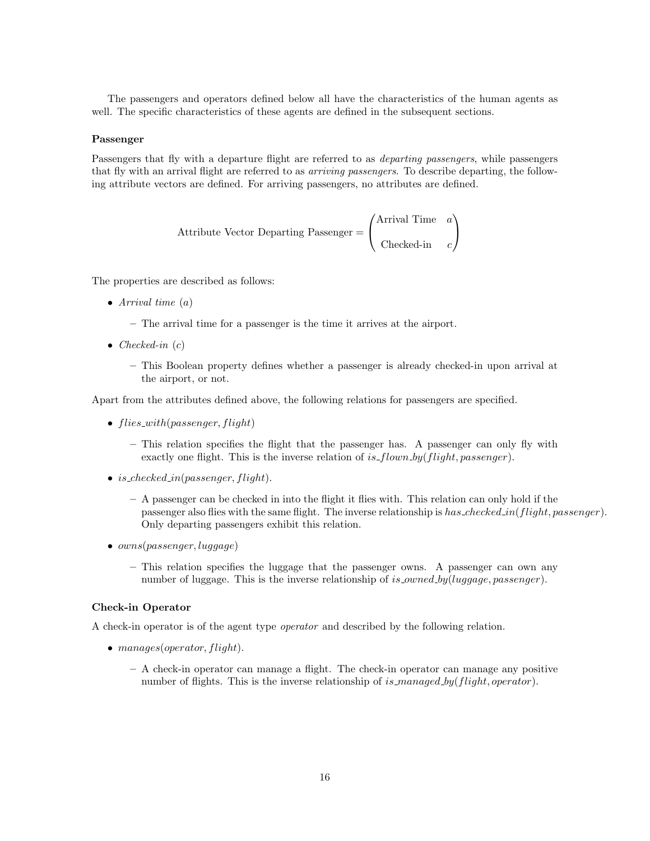The passengers and operators defined below all have the characteristics of the human agents as well. The specific characteristics of these agents are defined in the subsequent sections.

#### Passenger

Passengers that fly with a departure flight are referred to as *departing passengers*, while passengers that fly with an arrival flight are referred to as arriving passengers. To describe departing, the following attribute vectors are defined. For arriving passengers, no attributes are defined.

Attribute Vector Depending Passenger = 
$$
\begin{pmatrix} \text{Arrival Time} & a \\ \text{Checked-in} & c \end{pmatrix}
$$

The properties are described as follows:

- Arrival time  $(a)$ 
	- The arrival time for a passenger is the time it arrives at the airport.
- Checked-in  $(c)$ 
	- This Boolean property defines whether a passenger is already checked-in upon arrival at the airport, or not.

Apart from the attributes defined above, the following relations for passengers are specified.

- $flies\_with(passenger, flight)$ 
	- This relation specifies the flight that the passenger has. A passenger can only fly with exactly one flight. This is the inverse relation of is  $flown_by(flight, passenger)$ .
- is\_checked\_in(passenger, flight).
	- A passenger can be checked in into the flight it flies with. This relation can only hold if the passenger also flies with the same flight. The inverse relationship is has checked in(flight, passenger). Only departing passengers exhibit this relation.
- *owns*(*passenger, luggage*)
	- This relation specifies the luggage that the passenger owns. A passenger can own any number of luggage. This is the inverse relationship of is\_owned\_by(luggage, passenger).

#### Check-in Operator

A check-in operator is of the agent type operator and described by the following relation.

- manages(operator, flight).
	- A check-in operator can manage a flight. The check-in operator can manage any positive number of flights. This is the inverse relationship of is managed by  $(flight, operator)$ .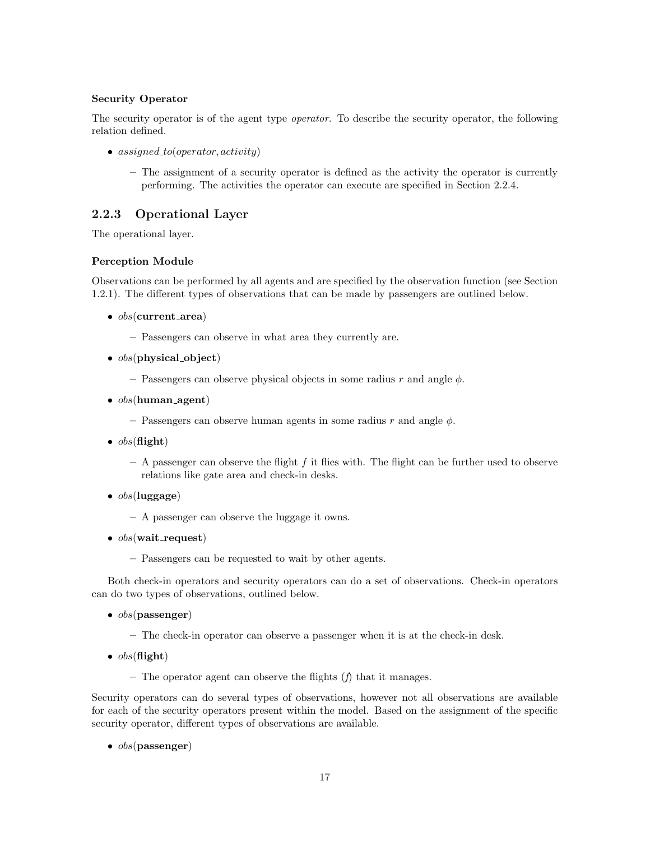#### Security Operator

The security operator is of the agent type operator. To describe the security operator, the following relation defined.

- $assignment, activity)$ 
	- The assignment of a security operator is defined as the activity the operator is currently performing. The activities the operator can execute are specified in Section 2.2.4.

## 2.2.3 Operational Layer

The operational layer.

#### Perception Module

Observations can be performed by all agents and are specified by the observation function (see Section 1.2.1). The different types of observations that can be made by passengers are outlined below.

- $obs$ (current area)
	- Passengers can observe in what area they currently are.
- $\bullet$  *obs*(physical object)
	- Passengers can observe physical objects in some radius r and angle  $\phi$ .
- $obs(\text{human\_agent})$ 
	- Passengers can observe human agents in some radius  $r$  and angle  $\phi$ .
- $\bullet$  obs(flight)
	- $-$  A passenger can observe the flight f it flies with. The flight can be further used to observe relations like gate area and check-in desks.
- $\bullet$  obs(luggage)
	- A passenger can observe the luggage it owns.
- $obs(wait\_request)$ 
	- Passengers can be requested to wait by other agents.

Both check-in operators and security operators can do a set of observations. Check-in operators can do two types of observations, outlined below.

- $\bullet$  *obs*(passenger)
	- The check-in operator can observe a passenger when it is at the check-in desk.
- $obs(\textbf{flight})$ 
	- The operator agent can observe the flights  $(f)$  that it manages.

Security operators can do several types of observations, however not all observations are available for each of the security operators present within the model. Based on the assignment of the specific security operator, different types of observations are available.

 $\bullet$  *obs*(passenger)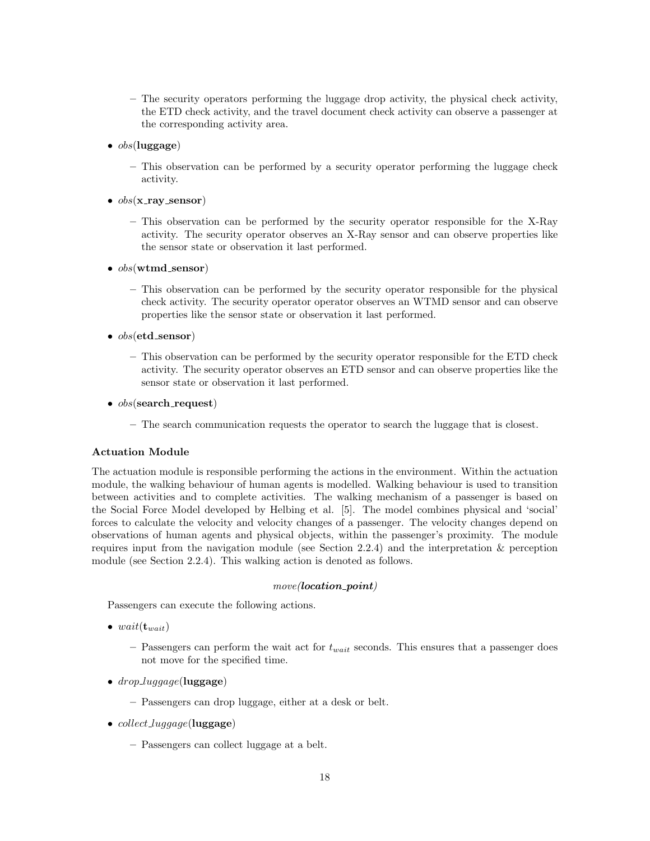- The security operators performing the luggage drop activity, the physical check activity, the ETD check activity, and the travel document check activity can observe a passenger at the corresponding activity area.
- $\bullet$  obs(luggage)
	- This observation can be performed by a security operator performing the luggage check activity.
- $obs(x$ <sub>ray</sub> sensor)
	- This observation can be performed by the security operator responsible for the X-Ray activity. The security operator observes an X-Ray sensor and can observe properties like the sensor state or observation it last performed.
- $obs(\text{wtmd\_sensor})$ 
	- This observation can be performed by the security operator responsible for the physical check activity. The security operator operator observes an WTMD sensor and can observe properties like the sensor state or observation it last performed.
- $obs(\text{etd}$  sensor)
	- This observation can be performed by the security operator responsible for the ETD check activity. The security operator observes an ETD sensor and can observe properties like the sensor state or observation it last performed.
- $obs$ (search\_request)
	- The search communication requests the operator to search the luggage that is closest.

#### Actuation Module

The actuation module is responsible performing the actions in the environment. Within the actuation module, the walking behaviour of human agents is modelled. Walking behaviour is used to transition between activities and to complete activities. The walking mechanism of a passenger is based on the Social Force Model developed by Helbing et al. [5]. The model combines physical and 'social' forces to calculate the velocity and velocity changes of a passenger. The velocity changes depend on observations of human agents and physical objects, within the passenger's proximity. The module requires input from the navigation module (see Section 2.2.4) and the interpretation & perception module (see Section 2.2.4). This walking action is denoted as follows.

#### $move$ ( $location\_point$ )

Passengers can execute the following actions.

- wait $(\mathbf{t}_{wait})$ 
	- Passengers can perform the wait act for  $t_{wait}$  seconds. This ensures that a passenger does not move for the specified time.
- $drop\_luggage$ (luggage)
	- Passengers can drop luggage, either at a desk or belt.
- *collect\_luggage*(luggage)
	- Passengers can collect luggage at a belt.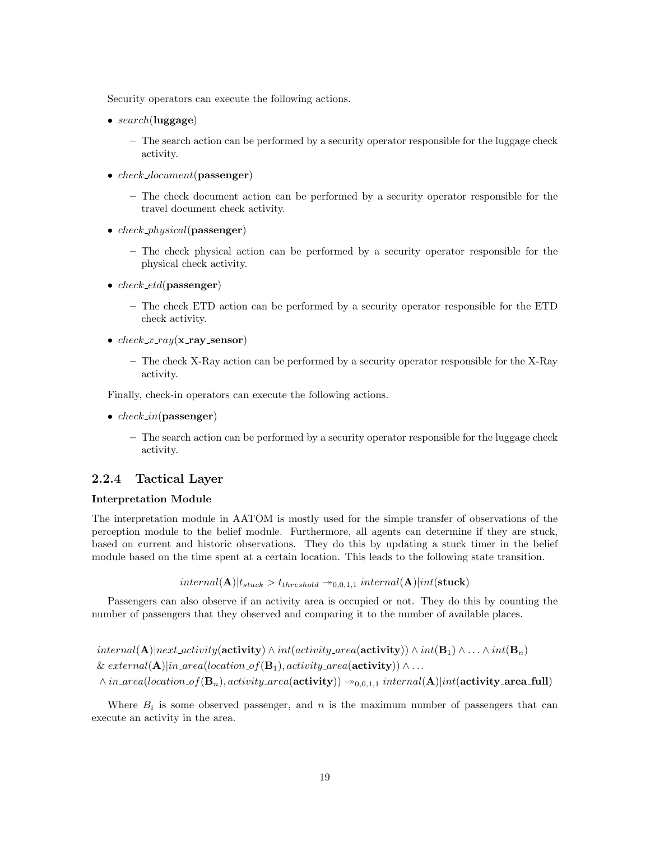Security operators can execute the following actions.

- $search(\text{luggage})$ 
	- The search action can be performed by a security operator responsible for the luggage check activity.
- *check\_document*(passenger)
	- The check document action can be performed by a security operator responsible for the travel document check activity.
- $check\_physical$ (passenger)
	- The check physical action can be performed by a security operator responsible for the physical check activity.
- $check\_etd$ (passenger)
	- The check ETD action can be performed by a security operator responsible for the ETD check activity.
- $check\_x$ -ray(x-ray-sensor)
	- The check X-Ray action can be performed by a security operator responsible for the X-Ray activity.

Finally, check-in operators can execute the following actions.

- $check_in(\textbf{passenger})$ 
	- The search action can be performed by a security operator responsible for the luggage check activity.

#### 2.2.4 Tactical Layer

#### Interpretation Module

The interpretation module in AATOM is mostly used for the simple transfer of observations of the perception module to the belief module. Furthermore, all agents can determine if they are stuck, based on current and historic observations. They do this by updating a stuck timer in the belief module based on the time spent at a certain location. This leads to the following state transition.

$$
internal(\mathbf{A}) | t_{stuck} > t_{threshold} \rightarrow_{0,0,1,1} internal(\mathbf{A}) | int(\textbf{stuck})
$$

Passengers can also observe if an activity area is occupied or not. They do this by counting the number of passengers that they observed and comparing it to the number of available places.

 $internal(\mathbf{A})|next activity(\mathbf{activity}) \wedge int(activity, area(\mathbf{activity})) \wedge int(\mathbf{B}_1) \wedge \ldots \wedge int(\mathbf{B}_n)$ & external(A)|in\_area(location\_of(B<sub>1</sub>), activity\_area(activity))  $\wedge \dots$  $\land in\_area(location\_of(B_n), activity\_area(activity))$  →  $_{0,0,1,1}$   $internal(A)|int(activity\_area-full)$ 

Where  $B_i$  is some observed passenger, and n is the maximum number of passengers that can execute an activity in the area.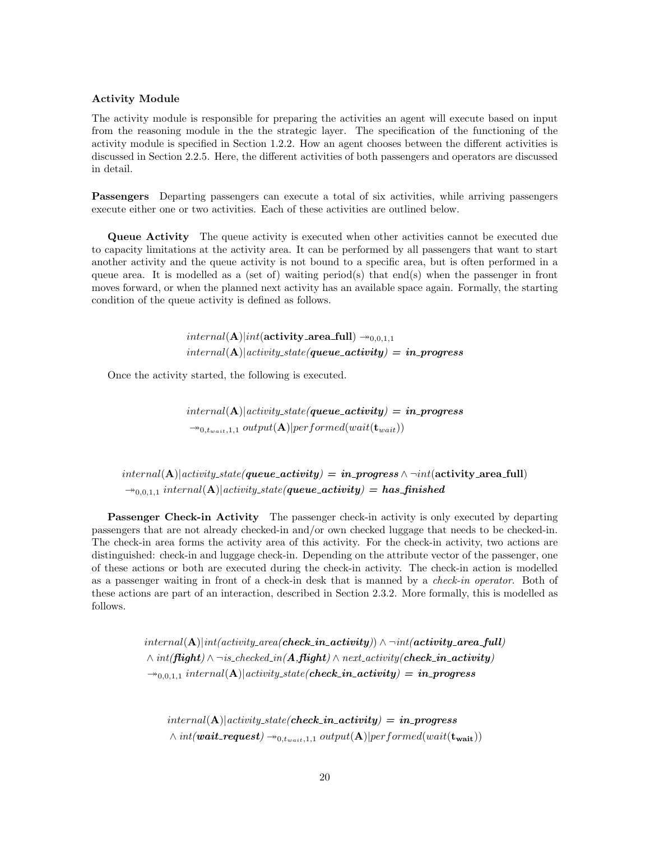#### Activity Module

The activity module is responsible for preparing the activities an agent will execute based on input from the reasoning module in the the strategic layer. The specification of the functioning of the activity module is specified in Section 1.2.2. How an agent chooses between the different activities is discussed in Section 2.2.5. Here, the different activities of both passengers and operators are discussed in detail.

Passengers Departing passengers can execute a total of six activities, while arriving passengers execute either one or two activities. Each of these activities are outlined below.

Queue Activity The queue activity is executed when other activities cannot be executed due to capacity limitations at the activity area. It can be performed by all passengers that want to start another activity and the queue activity is not bound to a specific area, but is often performed in a queue area. It is modelled as a (set of) waiting period(s) that end(s) when the passenger in front moves forward, or when the planned next activity has an available space again. Formally, the starting condition of the queue activity is defined as follows.

> $internal(\mathbf{A})|int(\mathbf{activity}\_ \mathbf{area\_full}) \rightarrow_{0,0,1,1}$  $internal(A)|activity\_state(queue\_activity) = in\_progress$

Once the activity started, the following is executed.

 $internal(\mathbf{A})|activity\_state(\textbf{queue}_\textit{activity}) = in\_progress$  $\rightarrow_{0,t_{wait},1,1} output(\mathbf{A})|performed(wait(\mathbf{t}_{wait}))$ 

 $internal(\mathbf{A})|activity\_state(queue\_activity) = in\_progress \wedge \neg int(\text{activity\_area-full})$  $\rightarrow_{0,0,1,1}$  internal(A)|activity\_state(queue\_activity) = has\_finished

**Passenger Check-in Activity** The passenger check-in activity is only executed by departing passengers that are not already checked-in and/or own checked luggage that needs to be checked-in. The check-in area forms the activity area of this activity. For the check-in activity, two actions are distinguished: check-in and luggage check-in. Depending on the attribute vector of the passenger, one of these actions or both are executed during the check-in activity. The check-in action is modelled as a passenger waiting in front of a check-in desk that is manned by a check-in operator. Both of these actions are part of an interaction, described in Section 2.3.2. More formally, this is modelled as follows.

> $\{internal(A)|int(activity\_area(check\_in\_activity)) \land \neg int(activity\_area\_full)\}$  $\land int(\mathit{flight}) \land \neg \mathit{is\_checked\_in}(A, \mathit{flight}) \land \mathit{next\_activity}(check\_in\_activity)$  $\rightarrow_{0,0,1,1}$  internal(A)|activity\_state(check\_in\_activity) = in\_progress

 $internal(A)|activity\_state(check_in\_activity) = in\_progress$  $\wedge int(wait\_request) \rightarrow_{0,t_{wait},1,1} output(A)|performed(wait(t_{wait}))$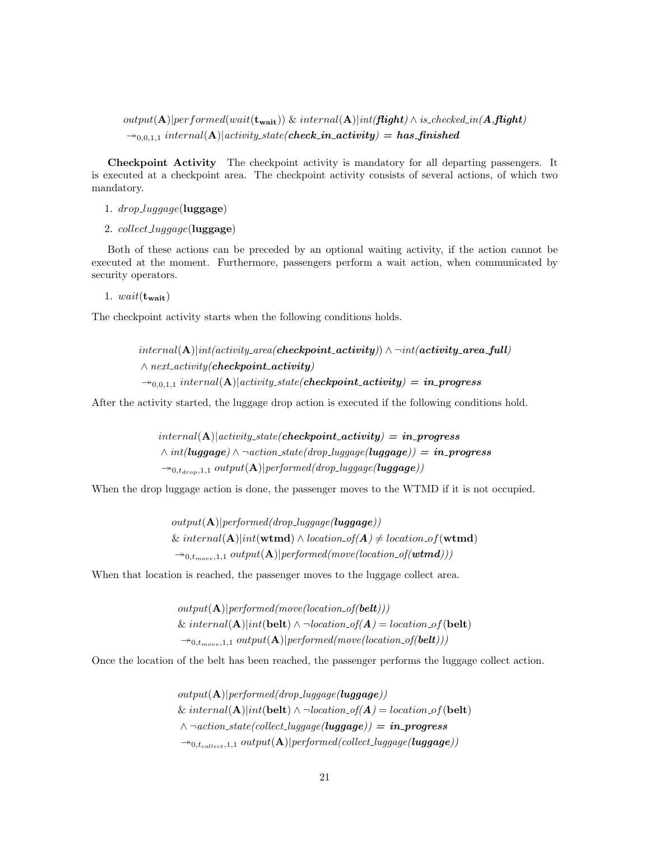$output(\mathbf{A})|performed(wait(\mathbf{t}_{wait}))$  &  $internal(\mathbf{A})|int(\mathit{flight}) \wedge is\_checked\_in(\mathbf{A},\mathit{flight})$  $\rightarrow_{0,0,1,1}$  internal(A)|activity\_state(**check\_in\_activity**) = has\_finished

Checkpoint Activity The checkpoint activity is mandatory for all departing passengers. It is executed at a checkpoint area. The checkpoint activity consists of several actions, of which two mandatory.

- 1.  $drop\_luggage$ (luggage)
- 2.  $collect\_luqqaqe$ (luggage)

Both of these actions can be preceded by an optional waiting activity, if the action cannot be executed at the moment. Furthermore, passengers perform a wait action, when communicated by security operators.

1.  $wait(\mathbf{t}_{wait})$ 

The checkpoint activity starts when the following conditions holds.

 $internal(\mathbf{A})|int(activity\_area(checkpoint\_activity) \wedge \neg int(activity\_area\_full)$  $\land$  next\_activity(**checkpoint\_activity**)  $\rightarrow_{0,0,1,1}$  internal(A)|activity\_state(checkpoint\_activity) = in\_progress

After the activity started, the luggage drop action is executed if the following conditions hold.

 $internal(A)|activity\_state(checkpoint\_activity) = in\_progress$  $\land int(luggage) \land \neg action\_state(drop\_luggage(luggage)) = in\_progress$  $\rightarrow_{0,t_{drop},1,1} output(\mathbf{A})|performed(drop\_lugage(luggage))$ 

When the drop luggage action is done, the passenger moves to the WTMD if it is not occupied.

 $output(A)|performed(drop\_lugage(luggage))$ & internal(A)|int(wtmd)  $\wedge$  location\_of(A)  $\neq$  location\_of(wtmd)  $\rightarrow_{0,t_{move},1,1} output(\mathbf{A})|performed(move(location_of(wtmd)))$ 

When that location is reached, the passenger moves to the luggage collect area.

 $output(A)|performed(move(location_of(belt)))$ &  $internal(\mathbf{A})| int(\mathbf{belt}) \wedge \neg location\_of(\mathbf{A}) = location\_of(\mathbf{belt})$  $\rightarrow_{0,t_{move},1,1} output(\mathbf{A})|performed(move(location_of(belt)))$ 

Once the location of the belt has been reached, the passenger performs the luggage collect action.

 $output(A)|performed(drop\_luggage(luggage))$ &  $internal(\mathbf{A})| int(\mathbf{belt}) \wedge \neg location\_of(\mathbf{A}) = location\_of(\mathbf{belt})$  $\wedge \neg action\_state(collect\_luqgage(luggage)) = in\_progress$  $\rightarrow$ <sub>0,tcollect</sub>,1,1 output(**A**)|performed(collect\_luggage(**luggage**))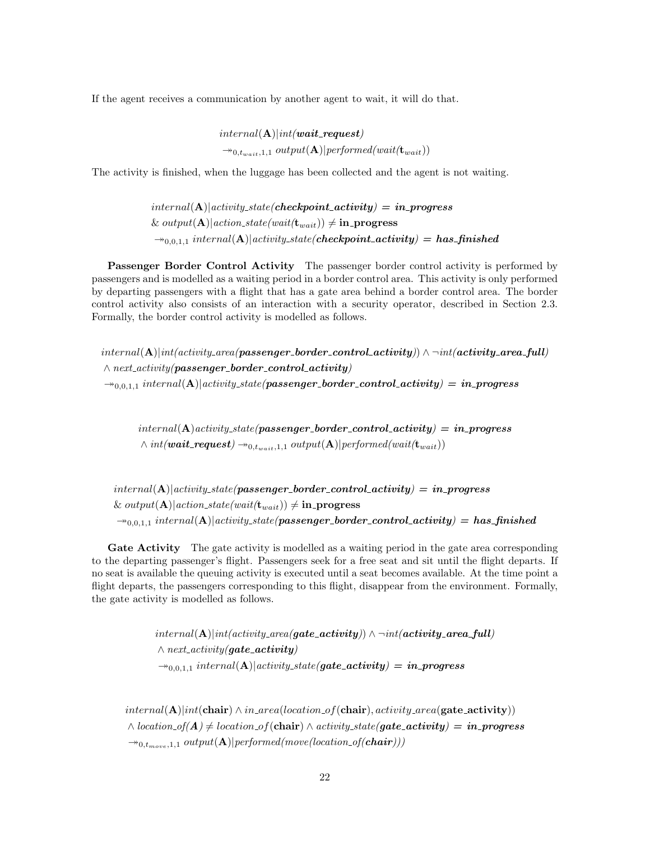If the agent receives a communication by another agent to wait, it will do that.

 $internal(\mathbf{A})| int(wait\_request)$  $\rightarrow_{0,t_{wait},1,1} output(\mathbf{A})|performed(wait(\mathbf{t}_{wait}))$ 

The activity is finished, when the luggage has been collected and the agent is not waiting.

 $internal(A)|activity\_state(checkpoint\_activity) = in\_progress$ &  $output(A)|action\_state(wait(t_{wait})) \neq in\_progress$  $\rightarrow_{0,0,1,1}$  internal(A)|activity\_state(checkpoint\_activity) = has\_finished

Passenger Border Control Activity The passenger border control activity is performed by passengers and is modelled as a waiting period in a border control area. This activity is only performed by departing passengers with a flight that has a gate area behind a border control area. The border control activity also consists of an interaction with a security operator, described in Section 2.3. Formally, the border control activity is modelled as follows.

 $internal(A)|int(activity, area/passengerbmder_{control\_activity}) \wedge \neg int(activity, areafull)$  $\land$  next\_activity(passenger\_border\_control\_activity)  $\rightarrow_{0,0,1,1}$  internal(A)|activity\_state(passenger\_border\_control\_activity) = in\_progress

 $internal(\mathbf{A}) activity\_state(passenger\_border\_control\_activity) = in\_progress$  $\wedge int(wait\_request) \rightarrow_{0,t_{wait},1,1} output(A)|performed(wait(t_{wait}))$ 

 $internal(A)|activity-state(passenger-border-control_activity) = in-process$ & output(A)|action\_state(wait( $\mathbf{t}_{wait}$ ))  $\neq$  in progress  $\rightarrow_{0,0,1,1}$  internal(A)|activity\_state(passenger\_border\_control\_activity) = has\_finished

Gate Activity The gate activity is modelled as a waiting period in the gate area corresponding to the departing passenger's flight. Passengers seek for a free seat and sit until the flight departs. If no seat is available the queuing activity is executed until a seat becomes available. At the time point a flight departs, the passengers corresponding to this flight, disappear from the environment. Formally, the gate activity is modelled as follows.

> $internal(A)|int(activity\_area(gate\_activity)) \wedge \neg int(activity\_area_full)$  $\land$  next\_activity(gate\_activity)  $\rightarrow_{0,0,1,1} internal(A)|activity\_state(gate\_activity) = in\_progress$

 $internal(\mathbf{A})| int(\mathbf{chair}) \wedge in\_area(location\_of(\mathbf{chair}), activity\_area(\mathbf{gate\_activity}))$  $\wedge$  location\_of( $A) \neq$  location\_of(chair)  $\wedge$  activity\_state(gate\_activity) = in\_progress  $\rightarrow_{0,t_{move},1,1} output(\mathbf{A})| performed(move(location_of(chair)))$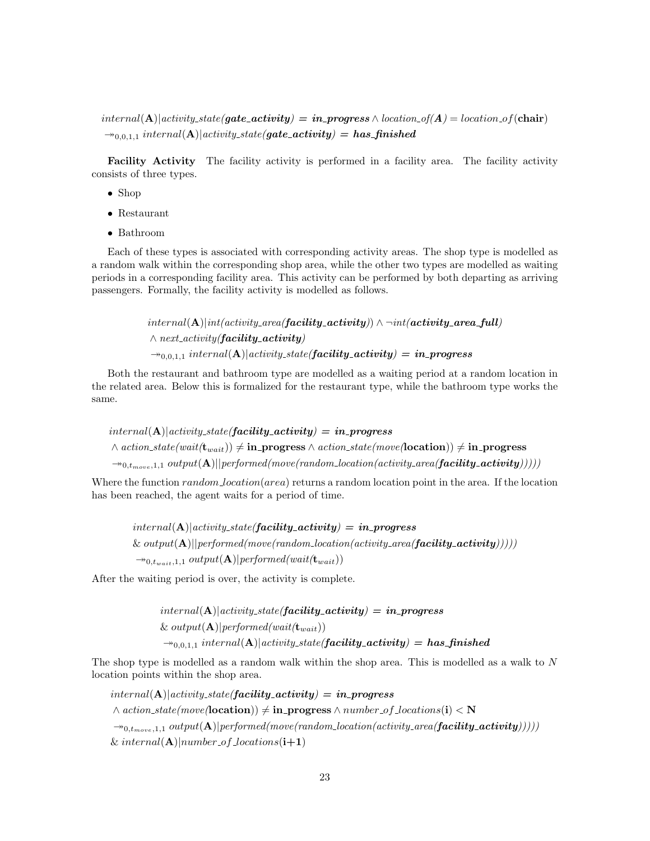$internal(\mathbf{A})|activity\_state(gate\_activity) = in\_progress \wedge location\_of(A) = location\_of(\mathbf{chair})$  $\rightarrow_{0,0,1,1}$  internal(A)|activity\_state(gate\_activity) = has\_finished

Facility Activity The facility activity is performed in a facility area. The facility activity consists of three types.

- Shop
- Restaurant
- Bathroom

Each of these types is associated with corresponding activity areas. The shop type is modelled as a random walk within the corresponding shop area, while the other two types are modelled as waiting periods in a corresponding facility area. This activity can be performed by both departing as arriving passengers. Formally, the facility activity is modelled as follows.

> $internal(\mathbf{A})|int(activity\_area(f\mathbf{acility\_activity}) \wedge \neg int(\mathbf{activity\_area\_full})$  $\land$  next\_activity(**facility\_activity**)  $\rightarrow_{0,0,1,1}$  internal(A)|activity\_state(**facility\_activity**) = in\_progress

Both the restaurant and bathroom type are modelled as a waiting period at a random location in the related area. Below this is formalized for the restaurant type, while the bathroom type works the same.

 $internal(A)|activity\_state(facility\_activity) = in\_progress$  $\wedge$  action\_state(wait( $\mathbf{t}_{wait}$ ))  $\neq$  in\_progress  $\wedge$  action\_state(move(location))  $\neq$  in\_progress  $\rightarrow_{0,t_{move},1,1} output(\mathbf{A})||performed(move(random\_location(activity\_area(facility\_activity)))))$ 

Where the function  $random\_location(area)$  returns a random location point in the area. If the location has been reached, the agent waits for a period of time.

 $internal(\mathbf{A})|activity\_state(facility\_activity) = in\_progress$  $\&$  output(A)||performed(move(random\_location(activity\_area(**facility\_activity**)))))  $\rightarrow_{0,t_{wait},1,1} output(\mathbf{A})|performed(wait(\mathbf{t}_{wait}))$ 

After the waiting period is over, the activity is complete.

 $internal(\mathbf{A})| activity\_state(facility\_activity) = in\_progress$ &  $output(\mathbf{A})|performed(wait(\mathbf{t}_{wait}))$  $\rightarrow_{0,0,1,1}$  internal(A)|activity\_state(**facility\_activity**) = has\_finished

The shop type is modelled as a random walk within the shop area. This is modelled as a walk to N location points within the shop area.

 $internal(\mathbf{A})|activity\_state(facility\_activity) = in\_progress$  $\land$  action\_state(move(location))  $\neq$  in\_progress  $\land$  number of locations(i)  $\lt N$  $\rightarrow_{0,t_{move},1,1} output(\mathbf{A})|performed(move(random\_location(activity\_area(facility\_activity)))))$ & internal( $\bf{A})$ |number\_of\_locations( $\bf{i+1})$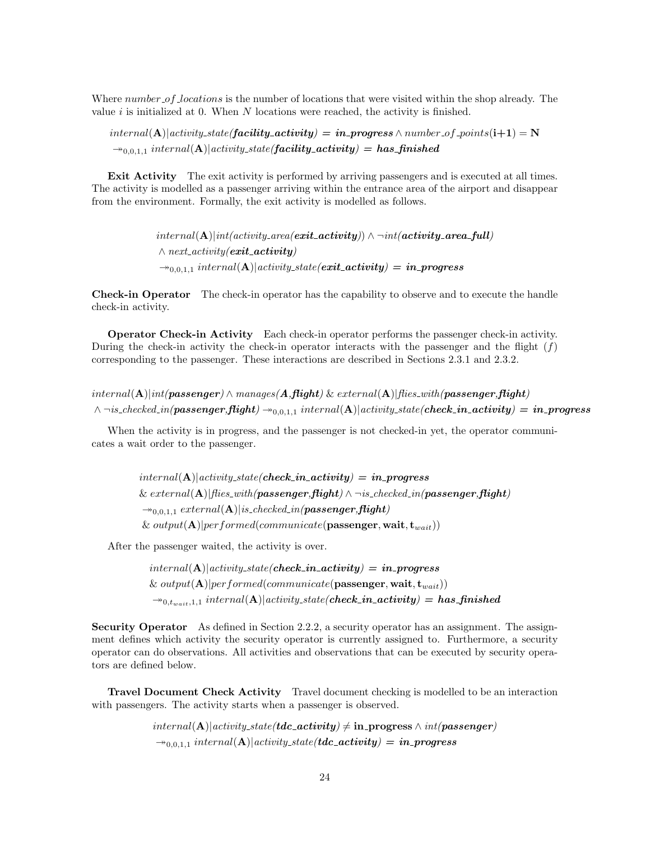Where number of locations is the number of locations that were visited within the shop already. The value  $i$  is initialized at 0. When  $N$  locations were reached, the activity is finished.

 $internal(\mathbf{A})|activity\_state(facility\_activity) = in\_progress \land number\_of\_points(i+1) = \mathbf{N}$  $\rightarrow_{0,0,1,1}$  internal(A)|activity\_state(**facility\_activity**) = has\_finished

Exit Activity The exit activity is performed by arriving passengers and is executed at all times. The activity is modelled as a passenger arriving within the entrance area of the airport and disappear from the environment. Formally, the exit activity is modelled as follows.

> $internal(\mathbf{A})|int(activity\_area(\boldsymbol{exit}\_activity)) \wedge \neg int(\boldsymbol{activity}\_area\_full)$  $\land$  next\_activity(**exit\_activity**)  $\rightarrow_{0,0,1,1}$  internal(A)|activity\_state(exit\_activity) = in\_progress

Check-in Operator The check-in operator has the capability to observe and to execute the handle check-in activity.

Operator Check-in Activity Each check-in operator performs the passenger check-in activity. During the check-in activity the check-in operator interacts with the passenger and the flight  $(f)$ corresponding to the passenger. These interactions are described in Sections 2.3.1 and 2.3.2.

 $internal(\mathbf{A})|int(passenger) \wedge manages(\mathbf{A},\mathbf{flight}) \& external(\mathbf{A})|fies\_with(passenger,\mathbf{flight})$  $\land \neg$ is\_checked\_in(passenger,flight)  $\rightarrow_{0,0,1,1}$  internal(A)|activity\_state(check\_in\_activity) = in\_progress

When the activity is in progress, and the passenger is not checked-in yet, the operator communicates a wait order to the passenger.

> $internal(A)|activity\_state(check\_in\_activity) = in\_progress$  $\&$  external(A)|flies\_with(passenger, flight)  $\wedge \neg$  is\_checked\_in(passenger, flight)  $\rightarrow_{0,0,1,1} external(A)|is\_checked\_in(\textit{passenger},\textit{flight})$ &  $output(A)|performed(communicate(\textbf{passenger}, \textbf{wait}, \textbf{t}_{wait}))$

After the passenger waited, the activity is over.

 $internal(A)|activity\_state(check_in\_activity) = in\_progress$ &  $output(A)|performed(communicate(\textbf{passenger}, \textbf{wait}, t_{wait}))$  $\rightarrow_{0,t_{wait},1,1} internal(A)|activity-state(check_in\_activity) = has\_finshed$ 

Security Operator As defined in Section 2.2.2, a security operator has an assignment. The assignment defines which activity the security operator is currently assigned to. Furthermore, a security operator can do observations. All activities and observations that can be executed by security operators are defined below.

Travel Document Check Activity Travel document checking is modelled to be an interaction with passengers. The activity starts when a passenger is observed.

> $internal(\mathbf{A})|activity\_state(tdc\_activity) \neq \text{in\_progress} \wedge int(passenger)$  $\rightarrow_{0,0,1,1}$  internal(A)|activity\_state(tdc\_activity) = in\_progress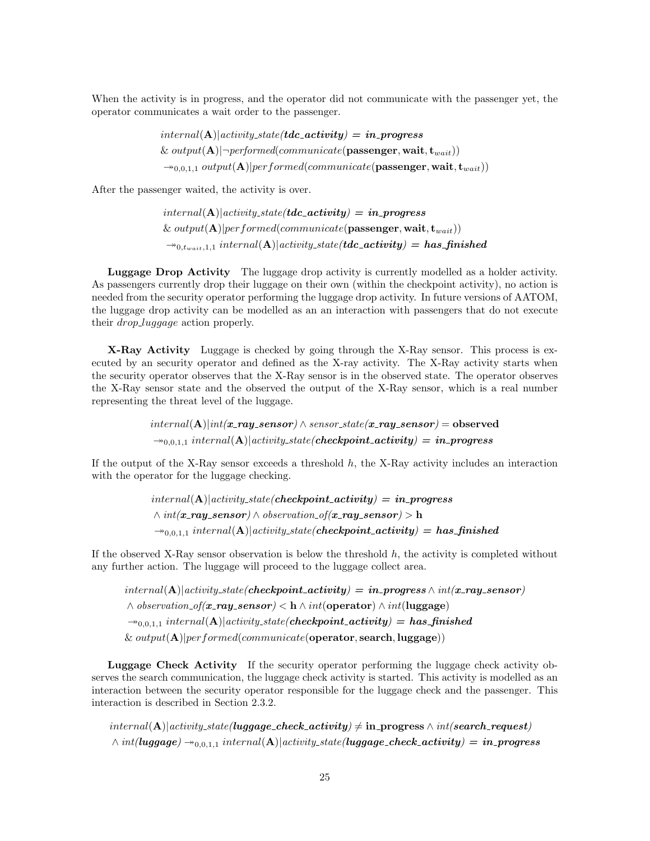When the activity is in progress, and the operator did not communicate with the passenger yet, the operator communicates a wait order to the passenger.

> $internal(A)|activity\_state(tdc\_activity) = in\_progress$ &  $output(A)|\neg performed(communicate(\textbf{passenger}, \textbf{wait}, t_{wait}))$  $\rightarrow_{0,0,1,1} output(\mathbf{A})|performed(communicate(\textbf{passenger}, \textbf{wait}, \textbf{t}_{wait}))$

After the passenger waited, the activity is over.

 $internal(\mathbf{A})|activity\_state(tdc\_activity) = in\_progress$ &  $output(A)|performed(communicate(\textbf{passenger}, \textbf{wait}, t_{wait}))$  $\rightarrow_{0,t_{wait},1,1} internal(\mathbf{A})|activity\_state(tdc\_activity) = has\_finshed$ 

Luggage Drop Activity The luggage drop activity is currently modelled as a holder activity. As passengers currently drop their luggage on their own (within the checkpoint activity), no action is needed from the security operator performing the luggage drop activity. In future versions of AATOM, the luggage drop activity can be modelled as an an interaction with passengers that do not execute their *drop\_luggage* action properly.

X-Ray Activity Luggage is checked by going through the X-Ray sensor. This process is executed by an security operator and defined as the X-ray activity. The X-Ray activity starts when the security operator observes that the X-Ray sensor is in the observed state. The operator observes the X-Ray sensor state and the observed the output of the X-Ray sensor, which is a real number representing the threat level of the luggage.

> $internal(\mathbf{A})| int(\mathbf{x} \text{-} \mathbf{ray}\text{-}sensor) \wedge sensor\_state(\mathbf{x} \text{-} \mathbf{ray}\text{-}sensor) = observed$  $\rightarrow_{0,0,1,1}$  internal(A)|activity\_state(checkpoint\_activity) = in\_progress

If the output of the X-Ray sensor exceeds a threshold  $h$ , the X-Ray activity includes an interaction with the operator for the luggage checking.

> $internal(A)|activity\_state(checkpoint\_activity) = in\_progress$  $\land int(\mathbf{x}$ -ray\_sensor)  $\land$  observation\_of( $\mathbf{x}$ -ray\_sensor) > h  $\rightarrow_{0,0,1,1}$  internal(A)|activity\_state(checkpoint\_activity) = has\_finished

If the observed X-Ray sensor observation is below the threshold  $h$ , the activity is completed without any further action. The luggage will proceed to the luggage collect area.

 $internal(\mathbf{A})|activity\_state(checkpoint\_activity) = in\_progress \wedge int(x-ray\_sensor)$  $\wedge$  observation\_of(x\_ray\_sensor)  $<$  h  $\wedge$  int(operator)  $\wedge$  int(luggage)  $\rightarrow_{0,0,1,1}$  internal(A)|activity\_state(checkpoint\_activity) = has\_finished &  $output(A)|performed(communication(operator, search, luggage))$ 

Luggage Check Activity If the security operator performing the luggage check activity observes the search communication, the luggage check activity is started. This activity is modelled as an interaction between the security operator responsible for the luggage check and the passenger. This interaction is described in Section 2.3.2.

 $internal(\mathbf{A})|activity\_state(luggage\_check\_activity) \neq in\_progress \wedge int (search\_request)$  $\wedge int(luggage) \rightarrow_{0,0,1,1} internal(A)|activity-state(luggage-check activity) = in-process$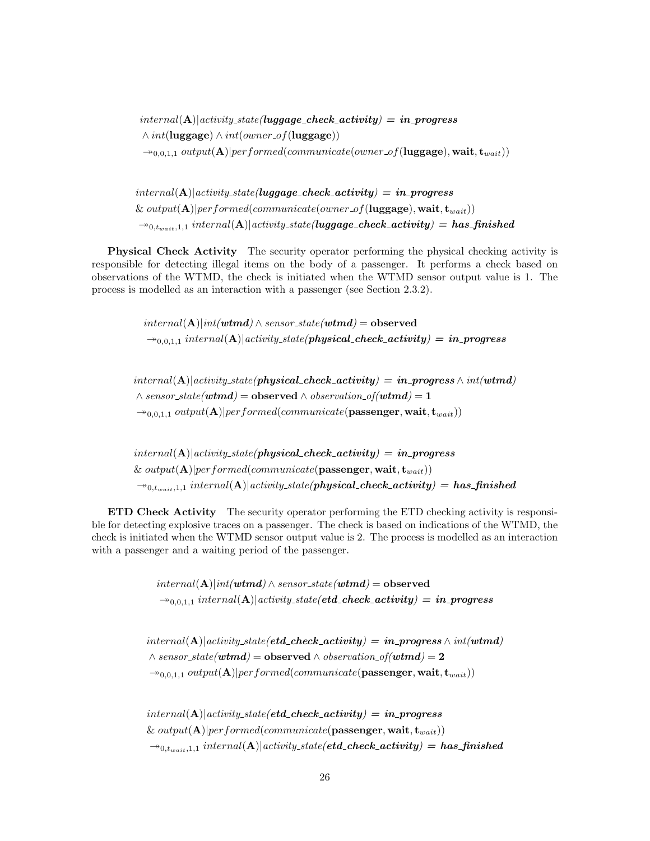$internal(A)|activity\_state(luqqaqe\_check\_activity) = in\_progress$  $\land int(luggage) \land int(owner_of(luggage))$  $\rightarrow_{0,0,1,1} output(\mathbf{A})|performed(communicate(owner_of(luggage), wait, t_{wait}))$ 

 $internal(A)|activity\_state(luggage\_check\_activity) = in\_progress$ & output( $\mathbf{A}$ )|performed(communicate(owner\_of(luggage), wait,  $\mathbf{t}_{wait}$ ))  $\rightarrow_{0,t_{wait},1,1} internal(A)|$  activity\_state(luggage\_check\_activity) = has\_finished

Physical Check Activity The security operator performing the physical checking activity is responsible for detecting illegal items on the body of a passenger. It performs a check based on observations of the WTMD, the check is initiated when the WTMD sensor output value is 1. The process is modelled as an interaction with a passenger (see Section 2.3.2).

> $internal(\mathbf{A})|int(\boldsymbol{w}\boldsymbol{t}\boldsymbol{m}\boldsymbol{d}) \wedge sensor\_state(\boldsymbol{w}\boldsymbol{t}\boldsymbol{m}\boldsymbol{d}) = \boldsymbol{\mathrm{observed}}$  $\rightarrow_{0,0,1,1}$  internal(A)|activity\_state(physical\_check\_activity) = in\_progress

 $internal(\mathbf{A})|activity\_state(physical\_check\_activity) = in\_progress \wedge int(wtmd)$  $\wedge$  sensor\_state(wtmd) = observed  $\wedge$  observation\_of(wtmd) = 1  $\rightarrow_{0,0,1,1} output(\mathbf{A})|performed(communicate(\mathbf{passenger}, \mathbf{wait}, \mathbf{t}_{wait}))$ 

 $internal(\mathbf{A})| activity\_state(physical\_check\_activity) = in\_progress$ & output( ${\bf A}$ )|performed(communicate(passenger, wait,  ${\bf t}_{wait}$ ))  $\rightarrow_{0,t_{wait},1,1} internal(A)|$  activity state(*physical\_check\_activity*) = has\_finished

ETD Check Activity The security operator performing the ETD checking activity is responsible for detecting explosive traces on a passenger. The check is based on indications of the WTMD, the check is initiated when the WTMD sensor output value is 2. The process is modelled as an interaction with a passenger and a waiting period of the passenger.

> $internal(\mathbf{A})|int(\boldsymbol{w t m d}) \wedge sensor\_state(\boldsymbol{w t m d}) = \mathbf{observed}$  $\rightarrow_{0,0,1,1}$  internal(A)|activity\_state(etd\_check\_activity) = in\_progress

 $internal(A)|activity\_state(etd\_check\_activity) = in\_progress \wedge int(wtmd)$  $\wedge$  sensor\_state(wtmd) = observed  $\wedge$  observation\_of(wtmd) = 2  $\rightarrow_{0,0,1,1} output(\mathbf{A})|performed(communicate(\mathbf{passenger}, \mathbf{wait}, \mathbf{t}_{wait}))$ 

 $internal(A)|activity\_state/etd\_check\_activity) = in\_progress$ & output( $\mathbf{A}$ )|performed(communicate(passenger, wait,  $\mathbf{t}_{wait}$ ))  $\rightarrow_{0,t_{wait},1,1} internal(A)|activity-state(td\_check\_activity) = has\_finshed$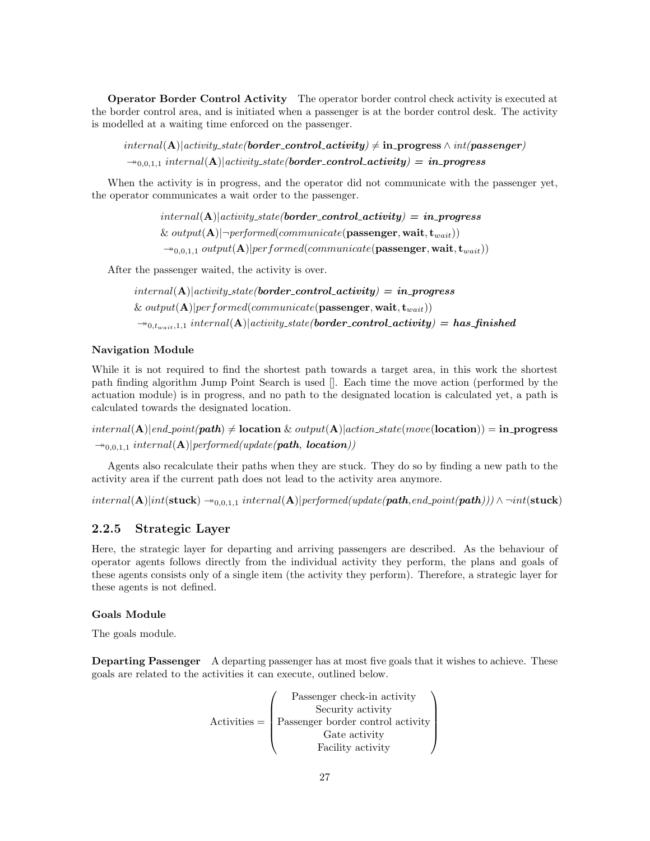Operator Border Control Activity The operator border control check activity is executed at the border control area, and is initiated when a passenger is at the border control desk. The activity is modelled at a waiting time enforced on the passenger.

 $internal(\mathbf{A})|activity\_state(border\_control\_activity) \neq \text{in\_progress} \land int(passenger)$  $\rightarrow_{0,0,1,1}$  internal(A)|activity\_state(border\_control\_activity) = in\_progress

When the activity is in progress, and the operator did not communicate with the passenger yet, the operator communicates a wait order to the passenger.

> $internal(A)|activity\_state(border\_control\_activity) = in\_progress$ &  $output(A)|\neg performed(communicate(\textbf{passenger}, \textbf{wait}, t_{wait}))$  $\rightarrow_{0,0,1,1} output(\mathbf{A})|performed(communicate(\mathbf{passenger}, \mathbf{wait}, \mathbf{t}_{wait}))$

After the passenger waited, the activity is over.

$$
internal(A)|activity\_state(border-control\_activity) = in\_progress
$$
  
& output(A)|performed(communication(passenger, wait, t<sub>wait</sub>))  

$$
\rightarrow_{0,t_{wait},1,1} internal(A)|activity\_state(border-control\_activity) = has\_finshed
$$

#### Navigation Module

While it is not required to find the shortest path towards a target area, in this work the shortest path finding algorithm Jump Point Search is used []. Each time the move action (performed by the actuation module) is in progress, and no path to the designated location is calculated yet, a path is calculated towards the designated location.

 $internal(A)|end\_point(path) \neq location \& output(A)|action\_state(move(location)) = in\_progress$  $\rightarrow_{0,0,1,1}$  internal(**A**)|performed(update(path, location))

Agents also recalculate their paths when they are stuck. They do so by finding a new path to the activity area if the current path does not lead to the activity area anymore.

 $internal(\mathbf{A})|int(\mathbf{stuck}) \rightarrow_{0,0,1,1} internal(\mathbf{A})|performed(update(\mathbf{path},end\_point(\mathbf{path}))) \wedge \neg int(\mathbf{stuck})$ 

#### 2.2.5 Strategic Layer

Here, the strategic layer for departing and arriving passengers are described. As the behaviour of operator agents follows directly from the individual activity they perform, the plans and goals of these agents consists only of a single item (the activity they perform). Therefore, a strategic layer for these agents is not defined.

#### Goals Module

The goals module.

Departing Passenger A departing passenger has at most five goals that it wishes to achieve. These goals are related to the activities it can execute, outlined below.

$$
\text{Active} = \left(\begin{array}{c} \text{Passenger check-in activity} \\ \text{Security activity} \\ \text{Passenger border control activity} \\ \text{Gate activity} \\ \text{Facility activity} \end{array}\right)
$$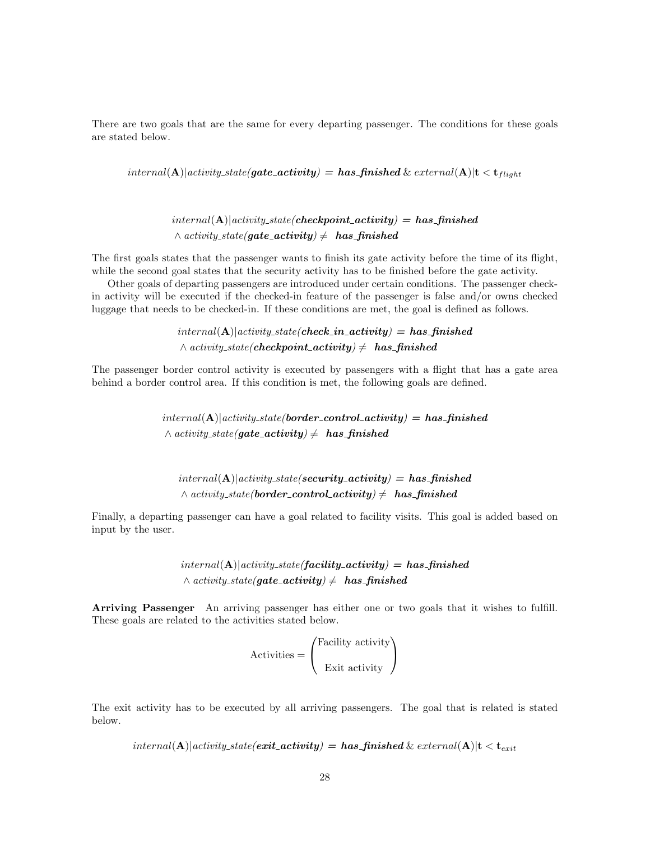There are two goals that are the same for every departing passenger. The conditions for these goals are stated below.

 $internal(\mathbf{A})| activity\_state(gate\_activity) = has\_finshed$ &  $external(\mathbf{A})|t < t_{fliaht}$ 

 $internal(A)|activity\_state(checkpoint\_activity) = has\_finshed$  $\land$  activity\_state(gate\_activity)  $\neq$  has\_finished

The first goals states that the passenger wants to finish its gate activity before the time of its flight, while the second goal states that the security activity has to be finished before the gate activity.

Other goals of departing passengers are introduced under certain conditions. The passenger checkin activity will be executed if the checked-in feature of the passenger is false and/or owns checked luggage that needs to be checked-in. If these conditions are met, the goal is defined as follows.

> $internal(A)|activity\_state(check\_in\_activity) = has\_finshed$  $\land$  activity\_state(**checkpoint\_activity**)  $\neq$  **has\_finished**

The passenger border control activity is executed by passengers with a flight that has a gate area behind a border control area. If this condition is met, the following goals are defined.

> $internal(A)|activity\_state/border\_control\_activity) = has\_finshed$  $\land$  activity\_state(gate\_activity)  $\neq$  has finished

 $internal(A)|activity\_state(security\_activity) = has\_finshed$  $\land$  activity\_state(border\_control\_activity)  $\neq$  has\_finished

Finally, a departing passenger can have a goal related to facility visits. This goal is added based on input by the user.

> $internal(A)|activity\_state(facility\_activity) = has\_finshed$  $\land$  activity\_state(qate\_activity)  $\neq$  has finished

Arriving Passenger An arriving passenger has either one or two goals that it wishes to fulfill. These goals are related to the activities stated below.

$$
Activity = \begin{pmatrix} \text{Facility activity} \\ \text{Exit activity} \end{pmatrix}
$$

The exit activity has to be executed by all arriving passengers. The goal that is related is stated below.

 $internal(\mathbf{A})|activeistate(e**xit** *activity*) = **has** *finished* \& *external*(\mathbf{A})|t < \mathbf{t}_{exit}$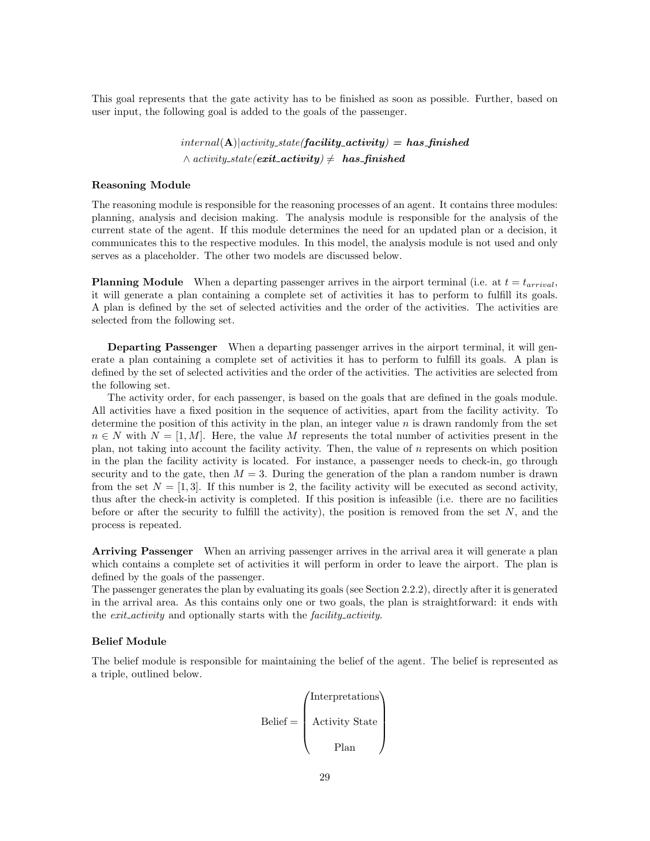This goal represents that the gate activity has to be finished as soon as possible. Further, based on user input, the following goal is added to the goals of the passenger.

> $internal(A)|activity\_state(facility\_activity) = has\_finshed$  $\land$  activity\_state(**exit\_activity**)  $\neq$  **has\_finished**

#### Reasoning Module

The reasoning module is responsible for the reasoning processes of an agent. It contains three modules: planning, analysis and decision making. The analysis module is responsible for the analysis of the current state of the agent. If this module determines the need for an updated plan or a decision, it communicates this to the respective modules. In this model, the analysis module is not used and only serves as a placeholder. The other two models are discussed below.

**Planning Module** When a departing passenger arrives in the airport terminal (i.e. at  $t = t_{arrival}$ , it will generate a plan containing a complete set of activities it has to perform to fulfill its goals. A plan is defined by the set of selected activities and the order of the activities. The activities are selected from the following set.

Departing Passenger When a departing passenger arrives in the airport terminal, it will generate a plan containing a complete set of activities it has to perform to fulfill its goals. A plan is defined by the set of selected activities and the order of the activities. The activities are selected from the following set.

The activity order, for each passenger, is based on the goals that are defined in the goals module. All activities have a fixed position in the sequence of activities, apart from the facility activity. To determine the position of this activity in the plan, an integer value  $n$  is drawn randomly from the set  $n \in N$  with  $N = [1, M]$ . Here, the value M represents the total number of activities present in the plan, not taking into account the facility activity. Then, the value of  $n$  represents on which position in the plan the facility activity is located. For instance, a passenger needs to check-in, go through security and to the gate, then  $M = 3$ . During the generation of the plan a random number is drawn from the set  $N = [1, 3]$ . If this number is 2, the facility activity will be executed as second activity, thus after the check-in activity is completed. If this position is infeasible (i.e. there are no facilities before or after the security to fulfill the activity), the position is removed from the set  $N$ , and the process is repeated.

Arriving Passenger When an arriving passenger arrives in the arrival area it will generate a plan which contains a complete set of activities it will perform in order to leave the airport. The plan is defined by the goals of the passenger.

The passenger generates the plan by evaluating its goals (see Section 2.2.2), directly after it is generated in the arrival area. As this contains only one or two goals, the plan is straightforward: it ends with the *exit<sub>activity* and optionally starts with the *facility\_activity*.</sub>

#### Belief Module

The belief module is responsible for maintaining the belief of the agent. The belief is represented as a triple, outlined below.

$$
Belief = \begin{pmatrix} Interpretations \\ Activity State \\ Plan \end{pmatrix}
$$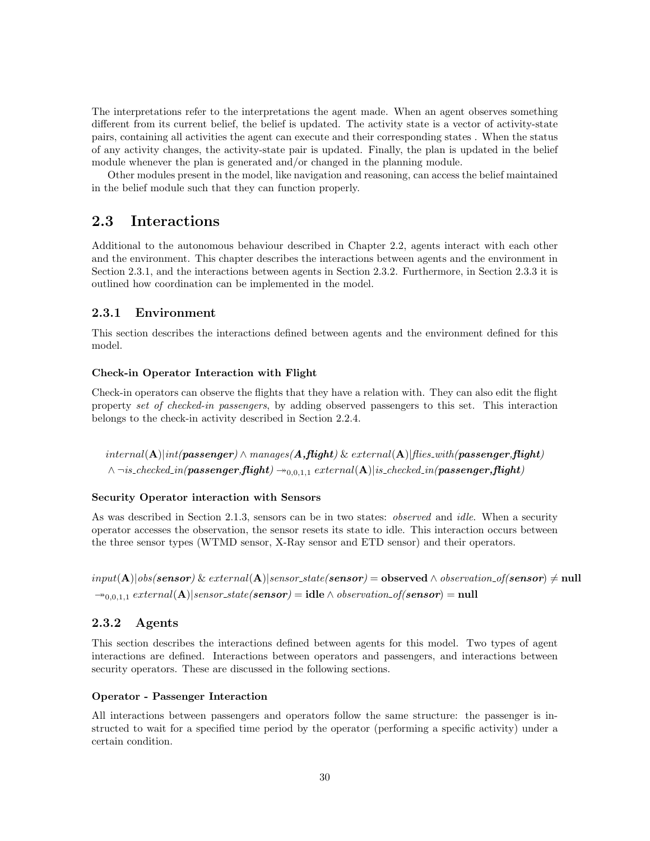The interpretations refer to the interpretations the agent made. When an agent observes something different from its current belief, the belief is updated. The activity state is a vector of activity-state pairs, containing all activities the agent can execute and their corresponding states . When the status of any activity changes, the activity-state pair is updated. Finally, the plan is updated in the belief module whenever the plan is generated and/or changed in the planning module.

Other modules present in the model, like navigation and reasoning, can access the belief maintained in the belief module such that they can function properly.

## 2.3 Interactions

Additional to the autonomous behaviour described in Chapter 2.2, agents interact with each other and the environment. This chapter describes the interactions between agents and the environment in Section 2.3.1, and the interactions between agents in Section 2.3.2. Furthermore, in Section 2.3.3 it is outlined how coordination can be implemented in the model.

#### 2.3.1 Environment

This section describes the interactions defined between agents and the environment defined for this model.

#### Check-in Operator Interaction with Flight

Check-in operators can observe the flights that they have a relation with. They can also edit the flight property set of checked-in passengers, by adding observed passengers to this set. This interaction belongs to the check-in activity described in Section 2.2.4.

 $internal(\mathbf{A})|int(passenger) \wedge manages(\mathbf{A},\mathbf{flight}) \& external(\mathbf{A})|fies\_with(passenger,\mathbf{flight})$  $\land$  ¬is\_checked\_in(passenger,flight)  $\rightarrow$ <sub>0,0,1,1</sub> external(A)|is\_checked\_in(passenger,flight)

#### Security Operator interaction with Sensors

As was described in Section 2.1.3, sensors can be in two states: *observed* and *idle*. When a security operator accesses the observation, the sensor resets its state to idle. This interaction occurs between the three sensor types (WTMD sensor, X-Ray sensor and ETD sensor) and their operators.

 $input(A)|obs(sensor) \& external(A)|sensor\_state(sensor) = observed \wedge observation\_of(sensor) \neq null$  $\rightarrow_{0,0,1,1} external(A)|sensor-state(sensor) = idle \wedge observation_of(sensor) = null$ 

#### 2.3.2 Agents

This section describes the interactions defined between agents for this model. Two types of agent interactions are defined. Interactions between operators and passengers, and interactions between security operators. These are discussed in the following sections.

#### Operator - Passenger Interaction

All interactions between passengers and operators follow the same structure: the passenger is instructed to wait for a specified time period by the operator (performing a specific activity) under a certain condition.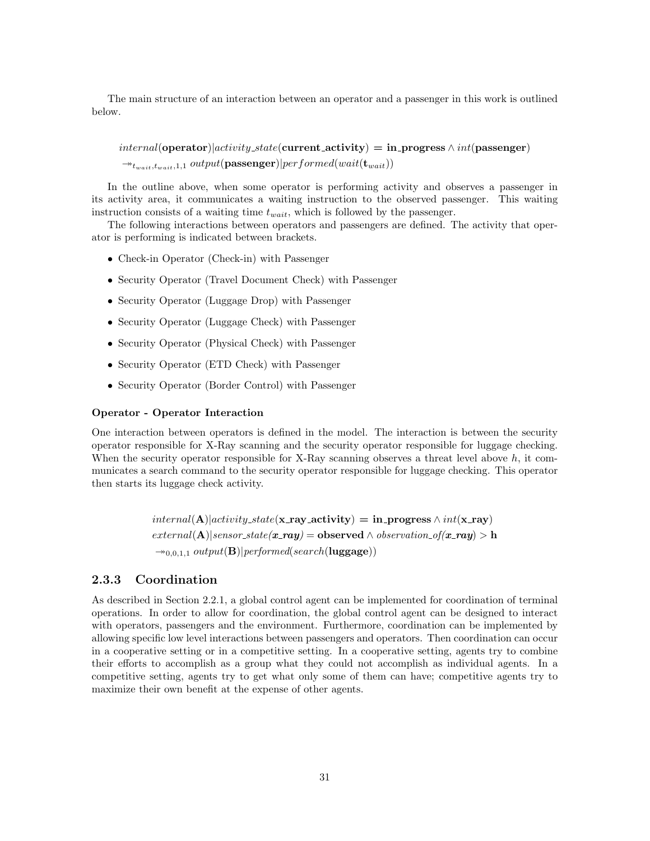The main structure of an interaction between an operator and a passenger in this work is outlined below.

 $internal$ (operator)|activity\_state(current\_activity) = in\_progress  $\wedge int$ (passenger)  $\rightarrow_{t_{wait},t_{wait},1,1} output(\text{passenger})|performed(wait(\mathbf{t}_{wait}))$ 

In the outline above, when some operator is performing activity and observes a passenger in its activity area, it communicates a waiting instruction to the observed passenger. This waiting instruction consists of a waiting time  $t_{wait}$ , which is followed by the passenger.

The following interactions between operators and passengers are defined. The activity that operator is performing is indicated between brackets.

- Check-in Operator (Check-in) with Passenger
- Security Operator (Travel Document Check) with Passenger
- Security Operator (Luggage Drop) with Passenger
- Security Operator (Luggage Check) with Passenger
- Security Operator (Physical Check) with Passenger
- Security Operator (ETD Check) with Passenger
- Security Operator (Border Control) with Passenger

#### Operator - Operator Interaction

One interaction between operators is defined in the model. The interaction is between the security operator responsible for X-Ray scanning and the security operator responsible for luggage checking. When the security operator responsible for X-Ray scanning observes a threat level above  $h$ , it communicates a search command to the security operator responsible for luggage checking. This operator then starts its luggage check activity.

> $internal(A)|activity\_state(x-ray\_activity) = in\_progress \wedge int(x-ray)$  $external(A)|sensor.state(x_r \alpha y) = observed \wedge observation_of(x_r \alpha y) > h$  $\rightarrow$ <sub>0,0,1,1</sub> output(**B**)|performed(search(**luggage**))

#### 2.3.3 Coordination

As described in Section 2.2.1, a global control agent can be implemented for coordination of terminal operations. In order to allow for coordination, the global control agent can be designed to interact with operators, passengers and the environment. Furthermore, coordination can be implemented by allowing specific low level interactions between passengers and operators. Then coordination can occur in a cooperative setting or in a competitive setting. In a cooperative setting, agents try to combine their efforts to accomplish as a group what they could not accomplish as individual agents. In a competitive setting, agents try to get what only some of them can have; competitive agents try to maximize their own benefit at the expense of other agents.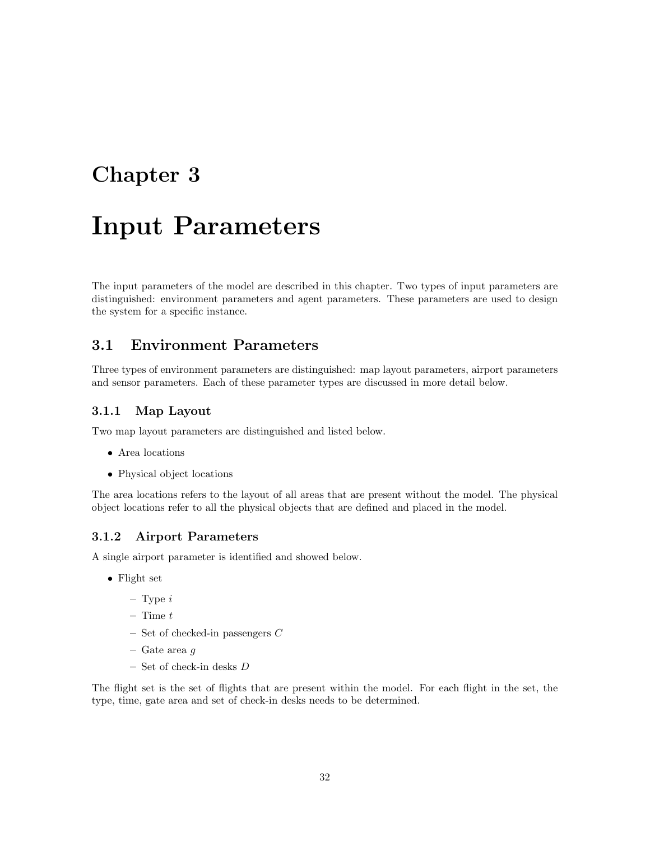## Chapter 3

# Input Parameters

The input parameters of the model are described in this chapter. Two types of input parameters are distinguished: environment parameters and agent parameters. These parameters are used to design the system for a specific instance.

## 3.1 Environment Parameters

Three types of environment parameters are distinguished: map layout parameters, airport parameters and sensor parameters. Each of these parameter types are discussed in more detail below.

#### 3.1.1 Map Layout

Two map layout parameters are distinguished and listed below.

- Area locations
- Physical object locations

The area locations refers to the layout of all areas that are present without the model. The physical object locations refer to all the physical objects that are defined and placed in the model.

### 3.1.2 Airport Parameters

A single airport parameter is identified and showed below.

- Flight set
	- $-$  Type  $i$
	- $-$  Time  $t$
	- Set of checked-in passengers C
	- Gate area g
	- $-$  Set of check-in desks  ${\cal D}$

The flight set is the set of flights that are present within the model. For each flight in the set, the type, time, gate area and set of check-in desks needs to be determined.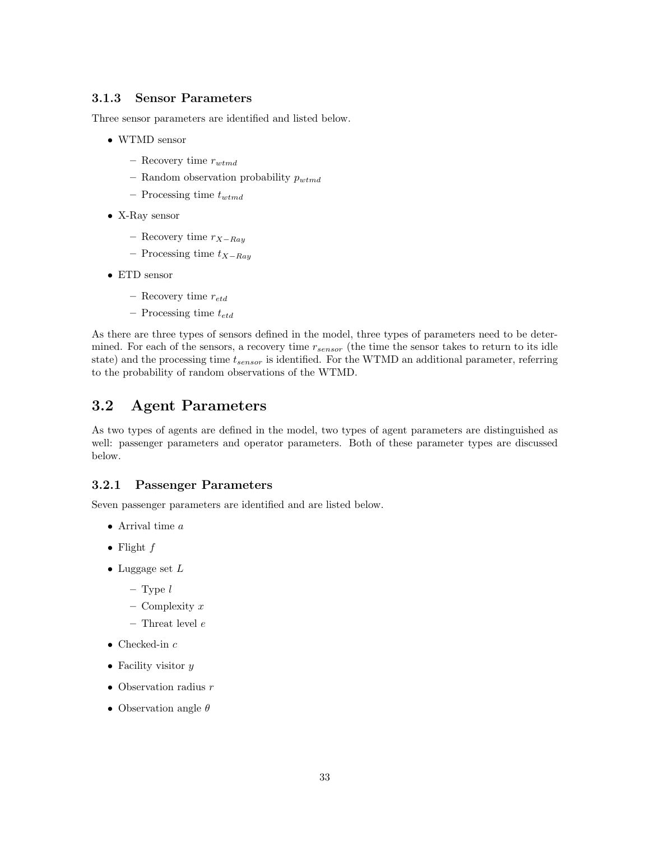### 3.1.3 Sensor Parameters

Three sensor parameters are identified and listed below.

- WTMD sensor
	- Recovery time  $r_{wtmd}$
	- Random observation probability  $p_{wtmd}$
	- Processing time  $t_{wtmd}$
- X-Ray sensor
	- Recovery time  $r_{X-Rau}$
	- Processing time  $t_{X-Ray}$
- ETD sensor
	- Recovery time  $r_{etd}$
	- Processing time  $t_{etd}$

As there are three types of sensors defined in the model, three types of parameters need to be determined. For each of the sensors, a recovery time  $r_{sensor}$  (the time the sensor takes to return to its idle state) and the processing time  $t_{sensor}$  is identified. For the WTMD an additional parameter, referring to the probability of random observations of the WTMD.

## 3.2 Agent Parameters

As two types of agents are defined in the model, two types of agent parameters are distinguished as well: passenger parameters and operator parameters. Both of these parameter types are discussed below.

#### 3.2.1 Passenger Parameters

Seven passenger parameters are identified and are listed below.

- Arrival time  $a$
- Flight  $f$
- Luggage set  $L$ 
	- $-$  Type  $\it{l}$
	- Complexity  $x$
	- $-$  Threat level  $e$
- Checked-in  $c$
- Facility visitor  $y$
- Observation radius  $r$
- Observation angle  $\theta$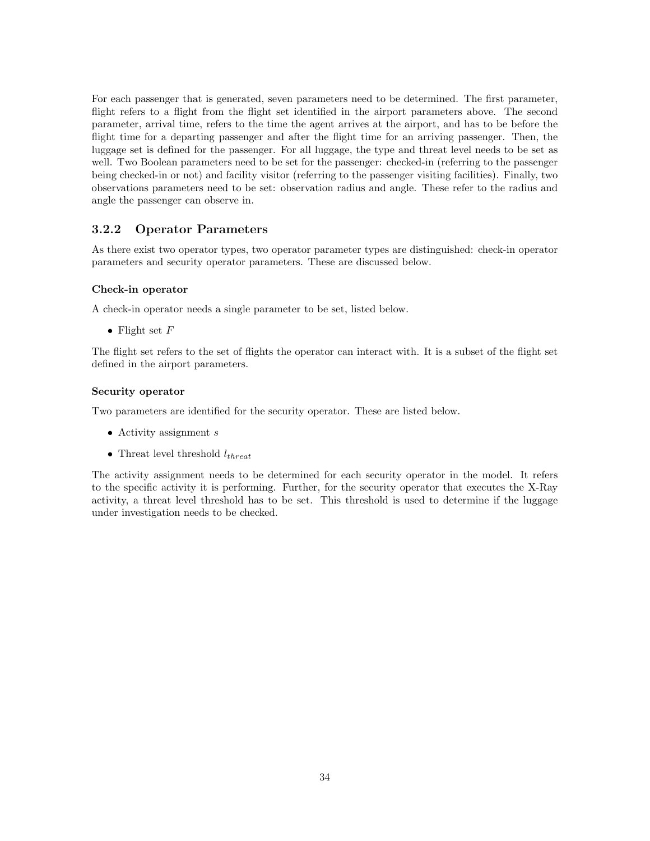For each passenger that is generated, seven parameters need to be determined. The first parameter, flight refers to a flight from the flight set identified in the airport parameters above. The second parameter, arrival time, refers to the time the agent arrives at the airport, and has to be before the flight time for a departing passenger and after the flight time for an arriving passenger. Then, the luggage set is defined for the passenger. For all luggage, the type and threat level needs to be set as well. Two Boolean parameters need to be set for the passenger: checked-in (referring to the passenger being checked-in or not) and facility visitor (referring to the passenger visiting facilities). Finally, two observations parameters need to be set: observation radius and angle. These refer to the radius and angle the passenger can observe in.

### 3.2.2 Operator Parameters

As there exist two operator types, two operator parameter types are distinguished: check-in operator parameters and security operator parameters. These are discussed below.

#### Check-in operator

A check-in operator needs a single parameter to be set, listed below.

• Flight set  $F$ 

The flight set refers to the set of flights the operator can interact with. It is a subset of the flight set defined in the airport parameters.

#### Security operator

Two parameters are identified for the security operator. These are listed below.

- Activity assignment  $s$
- Threat level threshold  $l_{thread}$

The activity assignment needs to be determined for each security operator in the model. It refers to the specific activity it is performing. Further, for the security operator that executes the X-Ray activity, a threat level threshold has to be set. This threshold is used to determine if the luggage under investigation needs to be checked.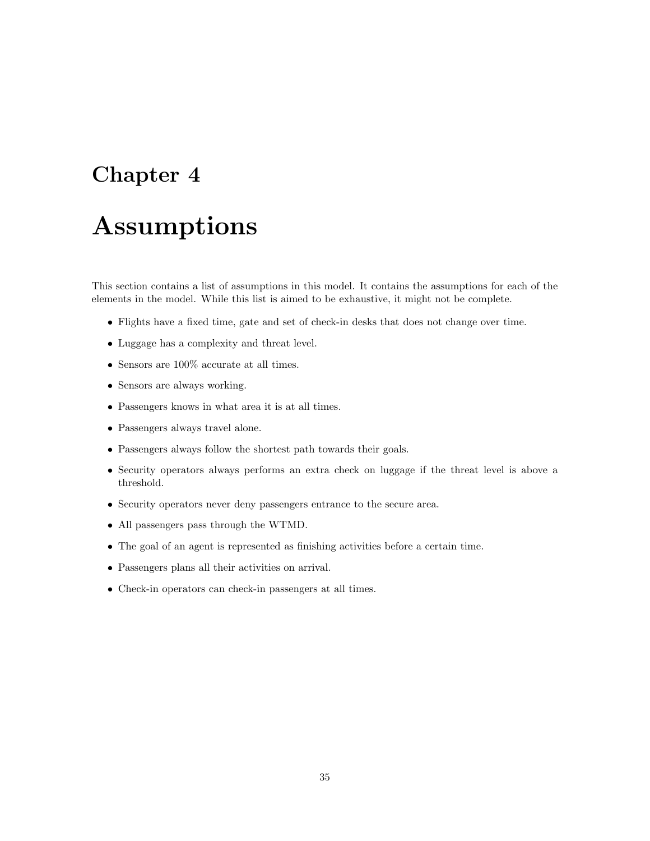## Chapter 4

# Assumptions

This section contains a list of assumptions in this model. It contains the assumptions for each of the elements in the model. While this list is aimed to be exhaustive, it might not be complete.

- Flights have a fixed time, gate and set of check-in desks that does not change over time.
- Luggage has a complexity and threat level.
- $\bullet\,$  Sensors are 100% accurate at all times.
- Sensors are always working.
- Passengers knows in what area it is at all times.
- Passengers always travel alone.
- Passengers always follow the shortest path towards their goals.
- Security operators always performs an extra check on luggage if the threat level is above a threshold.
- Security operators never deny passengers entrance to the secure area.
- All passengers pass through the WTMD.
- The goal of an agent is represented as finishing activities before a certain time.
- Passengers plans all their activities on arrival.
- Check-in operators can check-in passengers at all times.